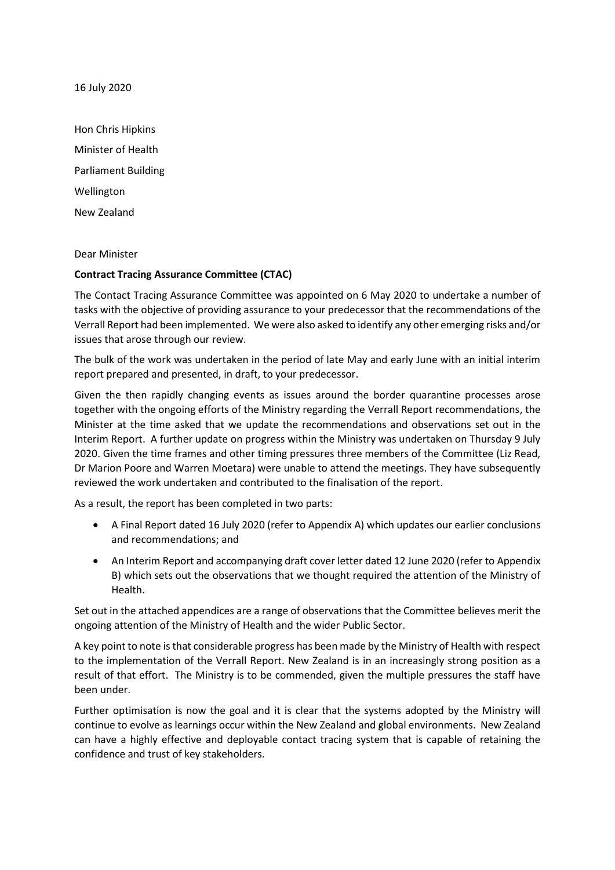16 July 2020

Hon Chris Hipkins Minister of Health Parliament Building Wellington New Zealand

Dear Minister

#### **Contract Tracing Assurance Committee (CTAC)**

The Contact Tracing Assurance Committee was appointed on 6 May 2020 to undertake a number of tasks with the objective of providing assurance to your predecessor that the recommendations of the Verrall Report had been implemented. We were also asked to identify any other emerging risks and/or issues that arose through our review.

The bulk of the work was undertaken in the period of late May and early June with an initial interim report prepared and presented, in draft, to your predecessor.

Given the then rapidly changing events as issues around the border quarantine processes arose together with the ongoing efforts of the Ministry regarding the Verrall Report recommendations, the Minister at the time asked that we update the recommendations and observations set out in the Interim Report. A further update on progress within the Ministry was undertaken on Thursday 9 July 2020. Given the time frames and other timing pressures three members of the Committee (Liz Read, Dr Marion Poore and Warren Moetara) were unable to attend the meetings. They have subsequently reviewed the work undertaken and contributed to the finalisation of the report.

As a result, the report has been completed in two parts:

- A Final Report dated 16 July 2020 (refer to Appendix A) which updates our earlier conclusions and recommendations; and
- An Interim Report and accompanying draft cover letter dated 12 June 2020 (refer to Appendix B) which sets out the observations that we thought required the attention of the Ministry of Health.

Set out in the attached appendices are a range of observations that the Committee believes merit the ongoing attention of the Ministry of Health and the wider Public Sector.

A key point to note is that considerable progress has been made by the Ministry of Health with respect to the implementation of the Verrall Report. New Zealand is in an increasingly strong position as a result of that effort. The Ministry is to be commended, given the multiple pressures the staff have been under.

Further optimisation is now the goal and it is clear that the systems adopted by the Ministry will continue to evolve as learnings occur within the New Zealand and global environments. New Zealand can have a highly effective and deployable contact tracing system that is capable of retaining the confidence and trust of key stakeholders.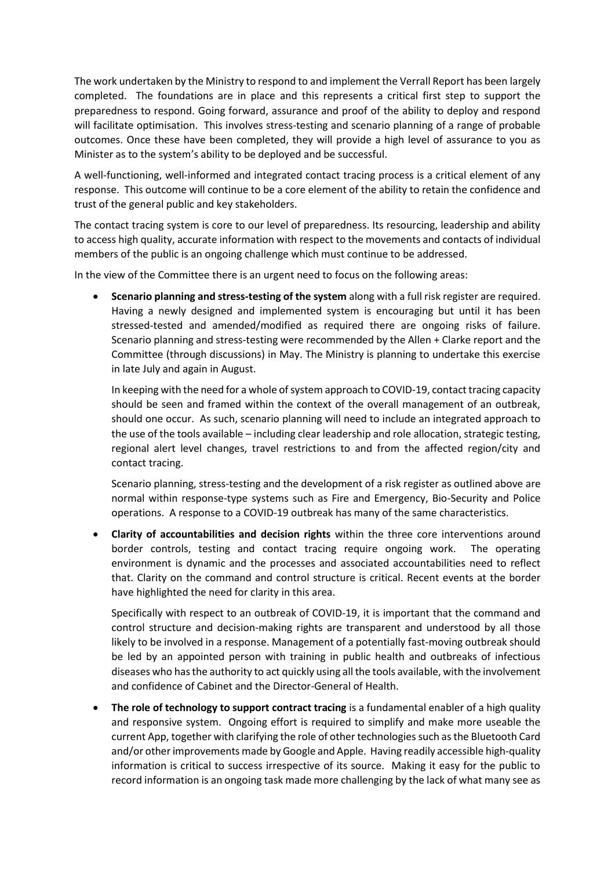The work undertaken by the Ministry to respond to and implement the Verrall Report has been largely completed. The foundations are in place and this represents a critical first step to support the preparedness to respond. Going forward, assurance and proof of the ability to deploy and respond will facilitate optimisation. This involves stress-testing and scenario planning of a range of probable outcomes. Once these have been completed, they will provide a high level of assurance to you as Minister as to the system's ability to be deployed and be successful.

A well-functioning, well-informed and integrated contact tracing process is a critical element of any response. This outcome will continue to be a core element of the ability to retain the confidence and trust of the general public and key stakeholders.

The contact tracing system is core to our level of preparedness. Its resourcing, leadership and ability to access high quality, accurate information with respect to the movements and contacts of individual members of the public is an ongoing challenge which must continue to be addressed.

In the view of the Committee there is an urgent need to focus on the following areas:

• **Scenario planning and stress-testing of the system** along with a full risk register are required. Having a newly designed and implemented system is encouraging but until it has been stressed-tested and amended/modified as required there are ongoing risks of failure. Scenario planning and stress-testing were recommended by the Allen + Clarke report and the Committee (through discussions) in May. The Ministry is planning to undertake this exercise in late July and again in August.

In keeping with the need for a whole of system approach to COVID-19, contact tracing capacity should be seen and framed within the context of the overall management of an outbreak, should one occur. As such, scenario planning will need to include an integrated approach to the use of the tools available – including clear leadership and role allocation, strategic testing, regional alert level changes, travel restrictions to and from the affected region/city and contact tracing.

Scenario planning, stress-testing and the development of a risk register as outlined above are normal within response-type systems such as Fire and Emergency, Bio-Security and Police operations. A response to a COVID-19 outbreak has many of the same characteristics.

• **Clarity of accountabilities and decision rights** within the three core interventions around border controls, testing and contact tracing require ongoing work. The operating environment is dynamic and the processes and associated accountabilities need to reflect that. Clarity on the command and control structure is critical. Recent events at the border have highlighted the need for clarity in this area.

Specifically with respect to an outbreak of COVID-19, it is important that the command and control structure and decision-making rights are transparent and understood by all those likely to be involved in a response. Management of a potentially fast-moving outbreak should be led by an appointed person with training in public health and outbreaks of infectious diseases who has the authority to act quickly using all the tools available, with the involvement and confidence of Cabinet and the Director-General of Health.

• **The role of technology to support contract tracing** is a fundamental enabler of a high quality and responsive system. Ongoing effort is required to simplify and make more useable the current App, together with clarifying the role of other technologies such as the Bluetooth Card and/or other improvements made by Google and Apple. Having readily accessible high-quality information is critical to success irrespective of its source. Making it easy for the public to record information is an ongoing task made more challenging by the lack of what many see as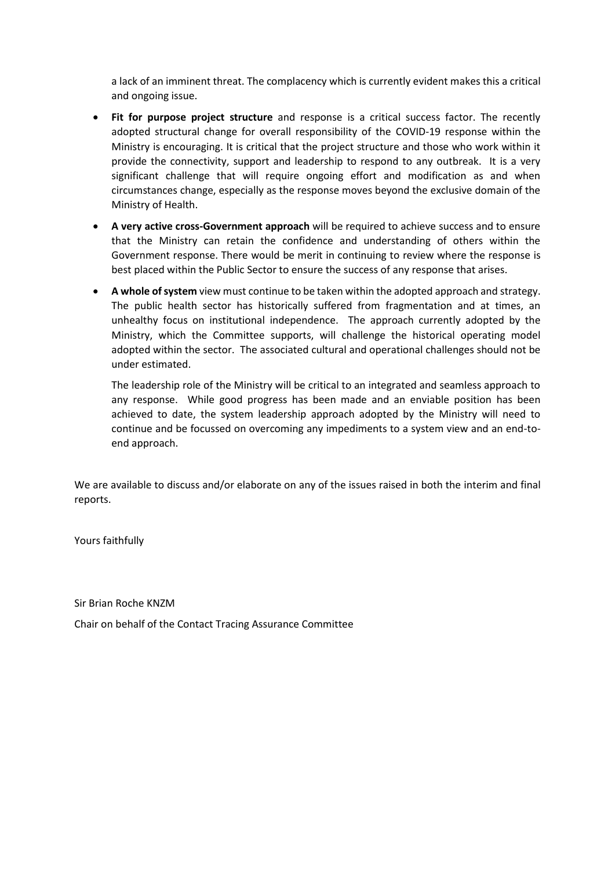a lack of an imminent threat. The complacency which is currently evident makes this a critical and ongoing issue.

- **Fit for purpose project structure** and response is a critical success factor. The recently adopted structural change for overall responsibility of the COVID-19 response within the Ministry is encouraging. It is critical that the project structure and those who work within it provide the connectivity, support and leadership to respond to any outbreak. It is a very significant challenge that will require ongoing effort and modification as and when circumstances change, especially as the response moves beyond the exclusive domain of the Ministry of Health.
- **A very active cross-Government approach** will be required to achieve success and to ensure that the Ministry can retain the confidence and understanding of others within the Government response. There would be merit in continuing to review where the response is best placed within the Public Sector to ensure the success of any response that arises.
- **A whole of system** view must continue to be taken within the adopted approach and strategy. The public health sector has historically suffered from fragmentation and at times, an unhealthy focus on institutional independence. The approach currently adopted by the Ministry, which the Committee supports, will challenge the historical operating model adopted within the sector. The associated cultural and operational challenges should not be under estimated.

The leadership role of the Ministry will be critical to an integrated and seamless approach to any response. While good progress has been made and an enviable position has been achieved to date, the system leadership approach adopted by the Ministry will need to continue and be focussed on overcoming any impediments to a system view and an end-toend approach.

We are available to discuss and/or elaborate on any of the issues raised in both the interim and final reports.

Yours faithfully

Sir Brian Roche KNZM

Chair on behalf of the Contact Tracing Assurance Committee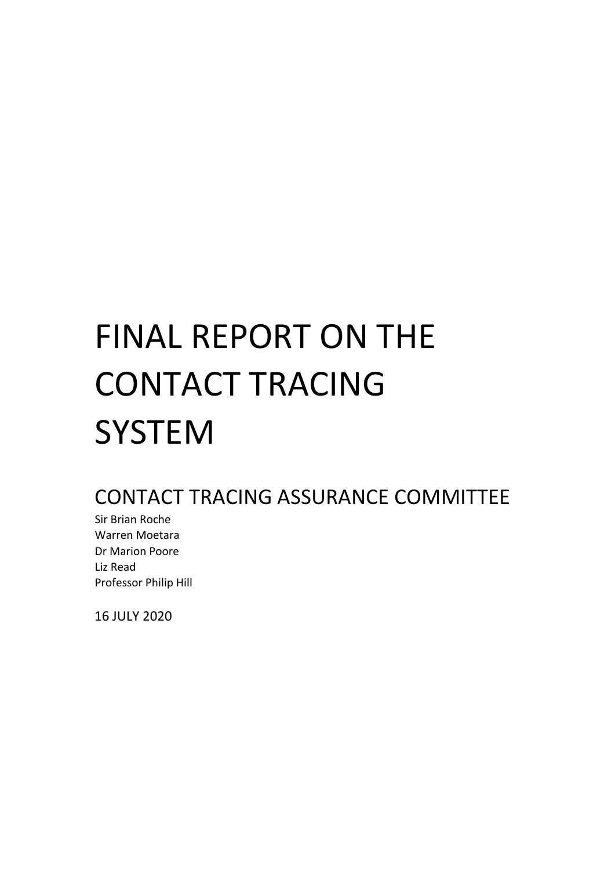# FINAL REPORT ON THE CONTACT TRACING **SYSTEM**

### CONTACT TRACING ASSURANCE COMMITTEE

Sir Brian Roche Warren Moetara Dr Marion Poore Liz Read Professor Philip Hill

16 JULY 2020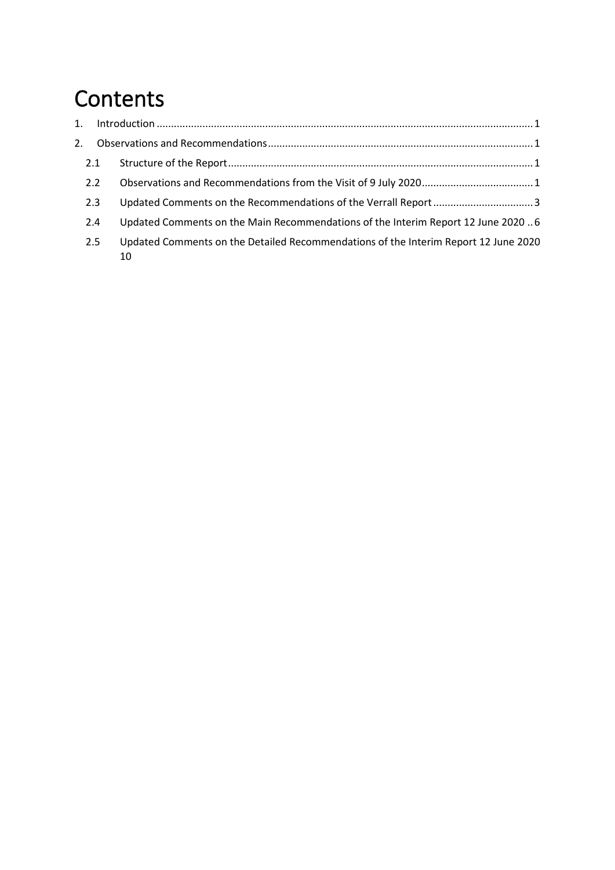# **Contents**

| 2.1 |                                                                                           |  |
|-----|-------------------------------------------------------------------------------------------|--|
| 2.2 |                                                                                           |  |
| 2.3 |                                                                                           |  |
| 2.4 | Updated Comments on the Main Recommendations of the Interim Report 12 June 2020  6        |  |
| 2.5 | Updated Comments on the Detailed Recommendations of the Interim Report 12 June 2020<br>10 |  |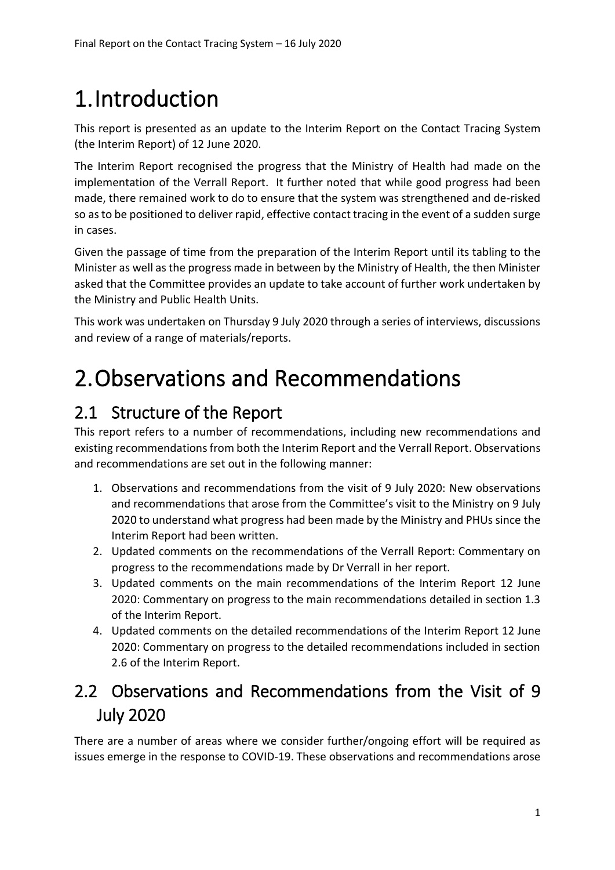# <span id="page-5-0"></span>1.Introduction

This report is presented as an update to the Interim Report on the Contact Tracing System (the Interim Report) of 12 June 2020.

The Interim Report recognised the progress that the Ministry of Health had made on the implementation of the Verrall Report. It further noted that while good progress had been made, there remained work to do to ensure that the system was strengthened and de-risked so as to be positioned to deliver rapid, effective contact tracing in the event of a sudden surge in cases.

Given the passage of time from the preparation of the Interim Report until its tabling to the Minister as well as the progress made in between by the Ministry of Health, the then Minister asked that the Committee provides an update to take account of further work undertaken by the Ministry and Public Health Units.

This work was undertaken on Thursday 9 July 2020 through a series of interviews, discussions and review of a range of materials/reports.

# <span id="page-5-1"></span>2.Observations and Recommendations

### <span id="page-5-2"></span>2.1 Structure of the Report

This report refers to a number of recommendations, including new recommendations and existing recommendations from both the Interim Report and the Verrall Report. Observations and recommendations are set out in the following manner:

- 1. Observations and recommendations from the visit of 9 July 2020: New observations and recommendations that arose from the Committee's visit to the Ministry on 9 July 2020 to understand what progress had been made by the Ministry and PHUs since the Interim Report had been written.
- 2. Updated comments on the recommendations of the Verrall Report: Commentary on progress to the recommendations made by Dr Verrall in her report.
- 3. Updated comments on the main recommendations of the Interim Report 12 June 2020: Commentary on progress to the main recommendations detailed in section 1.3 of the Interim Report.
- 4. Updated comments on the detailed recommendations of the Interim Report 12 June 2020: Commentary on progress to the detailed recommendations included in section 2.6 of the Interim Report.

### <span id="page-5-3"></span>2.2 Observations and Recommendations from the Visit of 9 July 2020

There are a number of areas where we consider further/ongoing effort will be required as issues emerge in the response to COVID-19. These observations and recommendations arose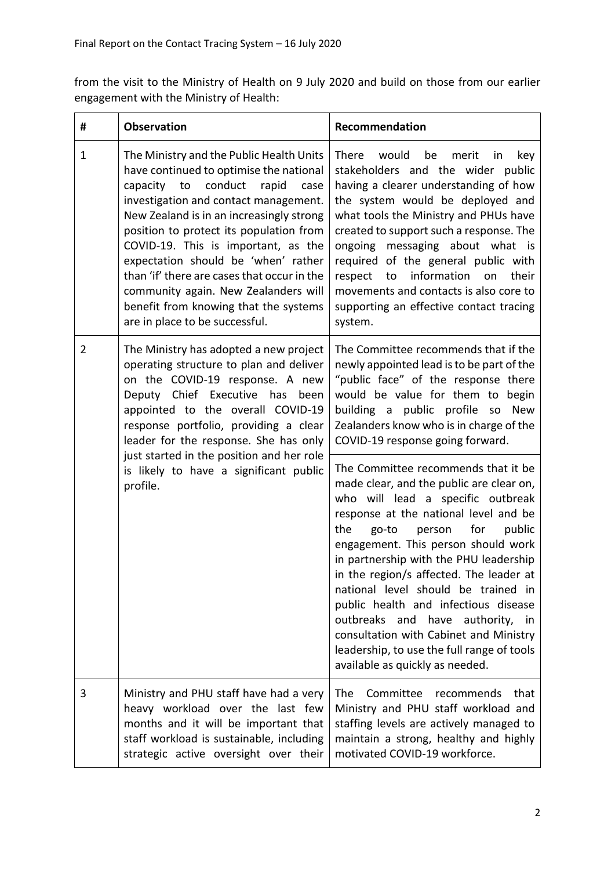from the visit to the Ministry of Health on 9 July 2020 and build on those from our earlier engagement with the Ministry of Health:

| #           | <b>Observation</b>                                                                                                                                                                                                                                                                                                                                                                                                                                                                                          | Recommendation                                                                                                                                                                                                                                                                                                                                                                                                                                                            |
|-------------|-------------------------------------------------------------------------------------------------------------------------------------------------------------------------------------------------------------------------------------------------------------------------------------------------------------------------------------------------------------------------------------------------------------------------------------------------------------------------------------------------------------|---------------------------------------------------------------------------------------------------------------------------------------------------------------------------------------------------------------------------------------------------------------------------------------------------------------------------------------------------------------------------------------------------------------------------------------------------------------------------|
| $\mathbf 1$ | The Ministry and the Public Health Units<br>have continued to optimise the national<br>capacity to conduct<br>rapid<br>case<br>investigation and contact management.<br>New Zealand is in an increasingly strong<br>position to protect its population from<br>COVID-19. This is important, as the<br>expectation should be 'when' rather<br>than 'if' there are cases that occur in the<br>community again. New Zealanders will<br>benefit from knowing that the systems<br>are in place to be successful. | There<br>would<br>be<br>merit<br>key<br>in<br>stakeholders and the wider public<br>having a clearer understanding of how<br>the system would be deployed and<br>what tools the Ministry and PHUs have<br>created to support such a response. The<br>ongoing messaging about what is<br>required of the general public with<br>information<br>their<br>respect<br>to<br>on<br>movements and contacts is also core to<br>supporting an effective contact tracing<br>system. |
| 2           | The Ministry has adopted a new project<br>operating structure to plan and deliver<br>on the COVID-19 response. A new<br>Deputy Chief Executive has been<br>appointed to the overall COVID-19<br>response portfolio, providing a clear<br>leader for the response. She has only<br>just started in the position and her role<br>is likely to have a significant public<br>profile.                                                                                                                           | The Committee recommends that if the<br>newly appointed lead is to be part of the<br>"public face" of the response there<br>would be value for them to begin<br>building a public profile so<br><b>New</b><br>Zealanders know who is in charge of the<br>COVID-19 response going forward.<br>The Committee recommends that it be<br>made clear, and the public are clear on,<br>who will lead a specific outbreak<br>response at the national level and be                |
|             |                                                                                                                                                                                                                                                                                                                                                                                                                                                                                                             | the<br>go-to<br>person<br>for<br>public<br>engagement. This person should work<br>in partnership with the PHU leadership<br>in the region/s affected. The leader at<br>national level should be trained in<br>public health and infectious disease<br>outbreaks and have authority, in<br>consultation with Cabinet and Ministry<br>leadership, to use the full range of tools<br>available as quickly as needed.                                                         |
| 3           | Ministry and PHU staff have had a very<br>heavy workload over the last few<br>months and it will be important that<br>staff workload is sustainable, including<br>strategic active oversight over their                                                                                                                                                                                                                                                                                                     | <b>The</b><br>Committee<br>recommends<br>that<br>Ministry and PHU staff workload and<br>staffing levels are actively managed to<br>maintain a strong, healthy and highly<br>motivated COVID-19 workforce.                                                                                                                                                                                                                                                                 |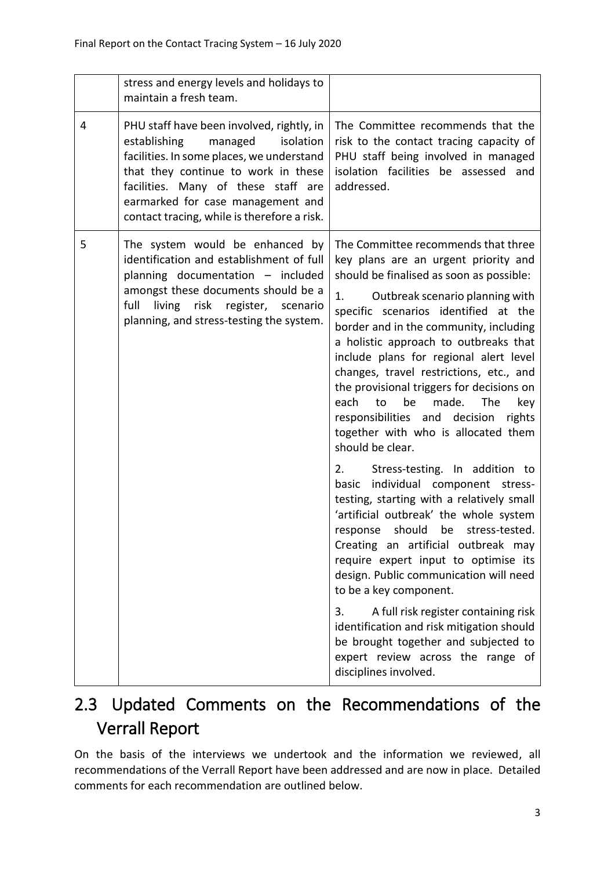|   | stress and energy levels and holidays to<br>maintain a fresh team.                                                                                                                                                                                                                               |                                                                                                                                                                                                                                                                                                                                                                                                                                                                                                                                                                                                                                                                                                                                                                                                                                                                                                                                                                                                                                                                                                                                                              |
|---|--------------------------------------------------------------------------------------------------------------------------------------------------------------------------------------------------------------------------------------------------------------------------------------------------|--------------------------------------------------------------------------------------------------------------------------------------------------------------------------------------------------------------------------------------------------------------------------------------------------------------------------------------------------------------------------------------------------------------------------------------------------------------------------------------------------------------------------------------------------------------------------------------------------------------------------------------------------------------------------------------------------------------------------------------------------------------------------------------------------------------------------------------------------------------------------------------------------------------------------------------------------------------------------------------------------------------------------------------------------------------------------------------------------------------------------------------------------------------|
| 4 | PHU staff have been involved, rightly, in<br>establishing<br>managed<br>isolation<br>facilities. In some places, we understand<br>that they continue to work in these<br>facilities. Many of these staff are<br>earmarked for case management and<br>contact tracing, while is therefore a risk. | The Committee recommends that the<br>risk to the contact tracing capacity of<br>PHU staff being involved in managed<br>isolation facilities be assessed and<br>addressed.                                                                                                                                                                                                                                                                                                                                                                                                                                                                                                                                                                                                                                                                                                                                                                                                                                                                                                                                                                                    |
| 5 | The system would be enhanced by<br>identification and establishment of full<br>planning documentation - included<br>amongst these documents should be a<br>full<br>living risk register, scenario<br>planning, and stress-testing the system.                                                    | The Committee recommends that three<br>key plans are an urgent priority and<br>should be finalised as soon as possible:<br>1.<br>Outbreak scenario planning with<br>specific scenarios identified at the<br>border and in the community, including<br>a holistic approach to outbreaks that<br>include plans for regional alert level<br>changes, travel restrictions, etc., and<br>the provisional triggers for decisions on<br>each<br>to<br>be<br>made.<br><b>The</b><br>key<br>responsibilities and decision<br>rights<br>together with who is allocated them<br>should be clear.<br>2.<br>Stress-testing. In addition to<br>individual component stress-<br>basic<br>testing, starting with a relatively small<br>'artificial outbreak' the whole system<br>should<br>be stress-tested.<br>response<br>Creating an artificial outbreak may<br>require expert input to optimise its<br>design. Public communication will need<br>to be a key component.<br>A full risk register containing risk<br>3.<br>identification and risk mitigation should<br>be brought together and subjected to<br>expert review across the range of<br>disciplines involved. |

### <span id="page-7-0"></span>2.3 Updated Comments on the Recommendations of the Verrall Report

On the basis of the interviews we undertook and the information we reviewed, all recommendations of the Verrall Report have been addressed and are now in place. Detailed comments for each recommendation are outlined below.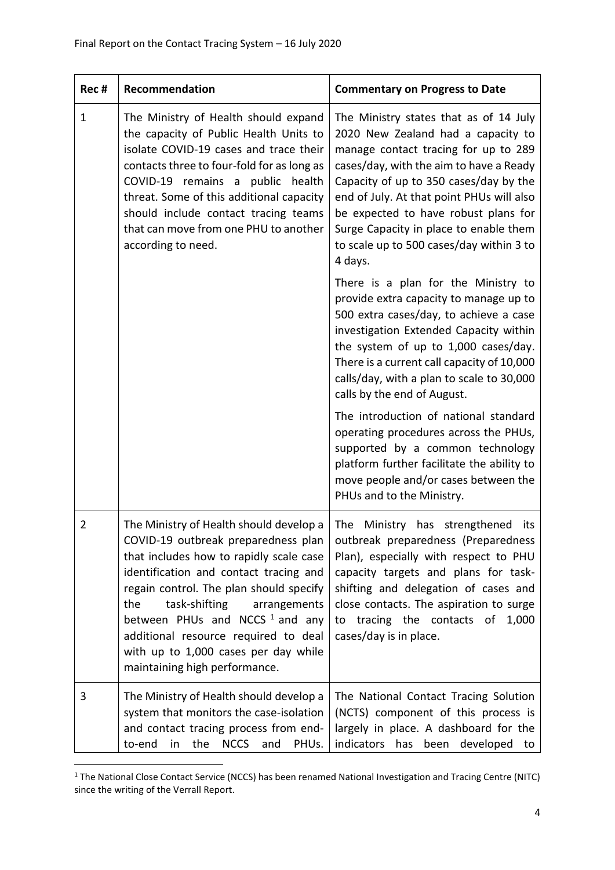| Rec#         | Recommendation                                                                                                                                                                                                                                                                                                                                                                                               | <b>Commentary on Progress to Date</b>                                                                                                                                                                                                                                                                                                                                                           |
|--------------|--------------------------------------------------------------------------------------------------------------------------------------------------------------------------------------------------------------------------------------------------------------------------------------------------------------------------------------------------------------------------------------------------------------|-------------------------------------------------------------------------------------------------------------------------------------------------------------------------------------------------------------------------------------------------------------------------------------------------------------------------------------------------------------------------------------------------|
| $\mathbf{1}$ | The Ministry of Health should expand<br>the capacity of Public Health Units to<br>isolate COVID-19 cases and trace their<br>contacts three to four-fold for as long as<br>COVID-19 remains a public health<br>threat. Some of this additional capacity<br>should include contact tracing teams<br>that can move from one PHU to another<br>according to need.                                                | The Ministry states that as of 14 July<br>2020 New Zealand had a capacity to<br>manage contact tracing for up to 289<br>cases/day, with the aim to have a Ready<br>Capacity of up to 350 cases/day by the<br>end of July. At that point PHUs will also<br>be expected to have robust plans for<br>Surge Capacity in place to enable them<br>to scale up to 500 cases/day within 3 to<br>4 days. |
|              |                                                                                                                                                                                                                                                                                                                                                                                                              | There is a plan for the Ministry to<br>provide extra capacity to manage up to<br>500 extra cases/day, to achieve a case<br>investigation Extended Capacity within<br>the system of up to 1,000 cases/day.<br>There is a current call capacity of 10,000<br>calls/day, with a plan to scale to 30,000<br>calls by the end of August.                                                             |
|              |                                                                                                                                                                                                                                                                                                                                                                                                              | The introduction of national standard<br>operating procedures across the PHUs,<br>supported by a common technology<br>platform further facilitate the ability to<br>move people and/or cases between the<br>PHUs and to the Ministry.                                                                                                                                                           |
| 2            | The Ministry of Health should develop a<br>COVID-19 outbreak preparedness plan<br>that includes how to rapidly scale case<br>identification and contact tracing and<br>regain control. The plan should specify<br>the<br>task-shifting<br>arrangements<br>between PHUs and NCCS $1$ and any<br>additional resource required to deal<br>with up to 1,000 cases per day while<br>maintaining high performance. | The Ministry has strengthened<br>its<br>outbreak preparedness (Preparedness<br>Plan), especially with respect to PHU<br>capacity targets and plans for task-<br>shifting and delegation of cases and<br>close contacts. The aspiration to surge<br>to tracing the contacts of<br>1,000<br>cases/day is in place.                                                                                |
| 3            | The Ministry of Health should develop a<br>system that monitors the case-isolation<br>and contact tracing process from end-<br>the<br>NCCS and<br>to-end<br>in<br>PHUs.                                                                                                                                                                                                                                      | The National Contact Tracing Solution<br>(NCTS) component of this process is<br>largely in place. A dashboard for the<br>indicators has<br>been developed to                                                                                                                                                                                                                                    |

<sup>&</sup>lt;sup>1</sup> The National Close Contact Service (NCCS) has been renamed National Investigation and Tracing Centre (NITC) since the writing of the Verrall Report.

1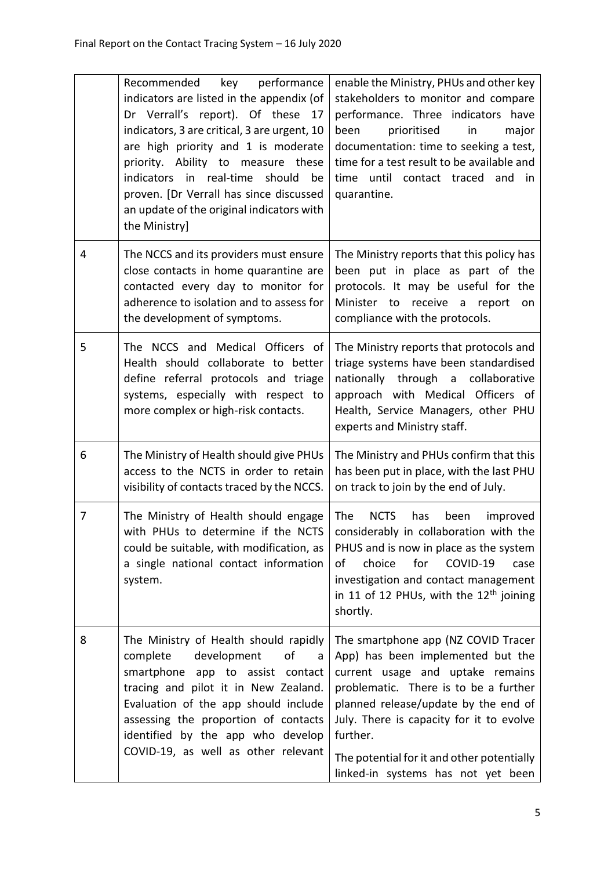|   | Recommended<br>performance<br>key<br>indicators are listed in the appendix (of<br>Dr Verrall's report). Of these 17<br>indicators, 3 are critical, 3 are urgent, 10<br>are high priority and 1 is moderate<br>priority. Ability to measure these<br>indicators in real-time<br>should<br>be<br>proven. [Dr Verrall has since discussed<br>an update of the original indicators with<br>the Ministry] | enable the Ministry, PHUs and other key<br>stakeholders to monitor and compare<br>performance. Three indicators have<br>prioritised<br>been<br>in<br>major<br>documentation: time to seeking a test,<br>time for a test result to be available and<br>time until contact traced and in<br>quarantine.                                     |
|---|------------------------------------------------------------------------------------------------------------------------------------------------------------------------------------------------------------------------------------------------------------------------------------------------------------------------------------------------------------------------------------------------------|-------------------------------------------------------------------------------------------------------------------------------------------------------------------------------------------------------------------------------------------------------------------------------------------------------------------------------------------|
| 4 | The NCCS and its providers must ensure<br>close contacts in home quarantine are<br>contacted every day to monitor for<br>adherence to isolation and to assess for<br>the development of symptoms.                                                                                                                                                                                                    | The Ministry reports that this policy has<br>been put in place as part of the<br>protocols. It may be useful for the<br>Minister to receive a report<br>on<br>compliance with the protocols.                                                                                                                                              |
| 5 | The NCCS and Medical Officers of<br>Health should collaborate to better<br>define referral protocols and triage<br>systems, especially with respect to<br>more complex or high-risk contacts.                                                                                                                                                                                                        | The Ministry reports that protocols and<br>triage systems have been standardised<br>nationally through a collaborative<br>approach with Medical Officers of<br>Health, Service Managers, other PHU<br>experts and Ministry staff.                                                                                                         |
| 6 | The Ministry of Health should give PHUs<br>access to the NCTS in order to retain<br>visibility of contacts traced by the NCCS.                                                                                                                                                                                                                                                                       | The Ministry and PHUs confirm that this<br>has been put in place, with the last PHU<br>on track to join by the end of July.                                                                                                                                                                                                               |
| 7 | The Ministry of Health should engage<br>with PHUs to determine if the NCTS<br>could be suitable, with modification, as<br>a single national contact information<br>system.                                                                                                                                                                                                                           | <b>The</b><br><b>NCTS</b><br>has<br>been<br>improved<br>considerably in collaboration with the<br>PHUS and is now in place as the system<br>COVID-19<br>choice<br>for<br>of<br>case<br>investigation and contact management<br>in 11 of 12 PHUs, with the $12th$ joining<br>shortly.                                                      |
| 8 | The Ministry of Health should rapidly<br>development<br>complete<br>of<br>smartphone app to assist contact<br>tracing and pilot it in New Zealand.<br>Evaluation of the app should include<br>assessing the proportion of contacts<br>identified by the app who develop<br>COVID-19, as well as other relevant                                                                                       | The smartphone app (NZ COVID Tracer<br>App) has been implemented but the<br>current usage and uptake remains<br>problematic. There is to be a further<br>planned release/update by the end of<br>July. There is capacity for it to evolve<br>further.<br>The potential for it and other potentially<br>linked-in systems has not yet been |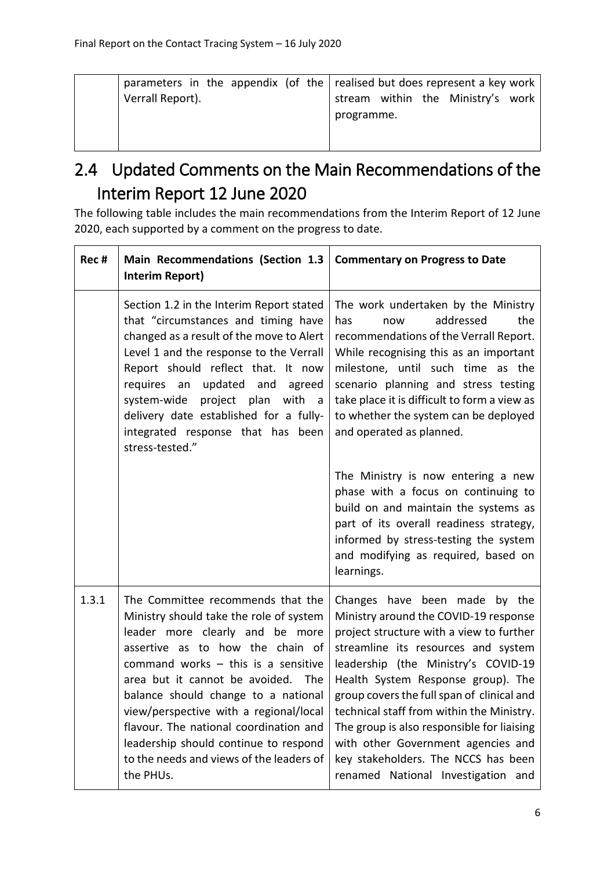### <span id="page-10-0"></span>2.4 Updated Comments on the Main Recommendations of the Interim Report 12 June 2020

The following table includes the main recommendations from the Interim Report of 12 June 2020, each supported by a comment on the progress to date.

| Rec # | Main Recommendations (Section 1.3<br><b>Interim Report)</b>                                                                                                                                                                                                                                                                                                                                                                                                     | <b>Commentary on Progress to Date</b>                                                                                                                                                                                                                                                                                                                                                                                                                                                              |
|-------|-----------------------------------------------------------------------------------------------------------------------------------------------------------------------------------------------------------------------------------------------------------------------------------------------------------------------------------------------------------------------------------------------------------------------------------------------------------------|----------------------------------------------------------------------------------------------------------------------------------------------------------------------------------------------------------------------------------------------------------------------------------------------------------------------------------------------------------------------------------------------------------------------------------------------------------------------------------------------------|
|       | Section 1.2 in the Interim Report stated<br>that "circumstances and timing have<br>changed as a result of the move to Alert<br>Level 1 and the response to the Verrall<br>Report should reflect that. It now<br>updated and<br>requires an<br>agreed<br>system-wide project plan<br>with<br>a a<br>delivery date established for a fully-<br>integrated response that has been<br>stress-tested."                                                               | The work undertaken by the Ministry<br>addressed<br>the<br>has<br>now<br>recommendations of the Verrall Report.<br>While recognising this as an important<br>milestone, until such time as the<br>scenario planning and stress testing<br>take place it is difficult to form a view as<br>to whether the system can be deployed<br>and operated as planned.                                                                                                                                        |
|       |                                                                                                                                                                                                                                                                                                                                                                                                                                                                 | The Ministry is now entering a new<br>phase with a focus on continuing to<br>build on and maintain the systems as<br>part of its overall readiness strategy,<br>informed by stress-testing the system<br>and modifying as required, based on<br>learnings.                                                                                                                                                                                                                                         |
| 1.3.1 | The Committee recommends that the<br>Ministry should take the role of system<br>leader more clearly and be more<br>assertive as to how the chain of<br>command works $-$ this is a sensitive<br>area but it cannot be avoided. The<br>balance should change to a national<br>view/perspective with a regional/local<br>flavour. The national coordination and<br>leadership should continue to respond<br>to the needs and views of the leaders of<br>the PHUs. | Changes have been made by the<br>Ministry around the COVID-19 response<br>project structure with a view to further<br>streamline its resources and system<br>leadership (the Ministry's COVID-19<br>Health System Response group). The<br>group covers the full span of clinical and<br>technical staff from within the Ministry.<br>The group is also responsible for liaising<br>with other Government agencies and<br>key stakeholders. The NCCS has been<br>renamed National Investigation and |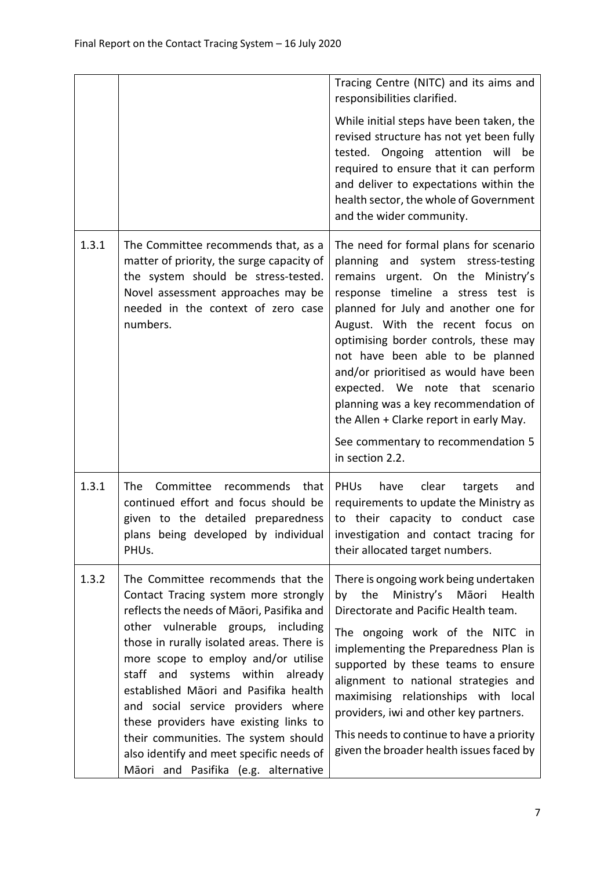|       |                                                                                                                                                                                                                                                                                                                                                                                                                                                                                                                                                 | Tracing Centre (NITC) and its aims and<br>responsibilities clarified.<br>While initial steps have been taken, the<br>revised structure has not yet been fully<br>tested. Ongoing attention will be<br>required to ensure that it can perform<br>and deliver to expectations within the<br>health sector, the whole of Government<br>and the wider community.                                                                                                                                                                             |
|-------|-------------------------------------------------------------------------------------------------------------------------------------------------------------------------------------------------------------------------------------------------------------------------------------------------------------------------------------------------------------------------------------------------------------------------------------------------------------------------------------------------------------------------------------------------|------------------------------------------------------------------------------------------------------------------------------------------------------------------------------------------------------------------------------------------------------------------------------------------------------------------------------------------------------------------------------------------------------------------------------------------------------------------------------------------------------------------------------------------|
| 1.3.1 | The Committee recommends that, as a<br>matter of priority, the surge capacity of<br>the system should be stress-tested.<br>Novel assessment approaches may be<br>needed in the context of zero case<br>numbers.                                                                                                                                                                                                                                                                                                                                 | The need for formal plans for scenario<br>planning and system stress-testing<br>remains urgent. On the Ministry's<br>response timeline a stress test is<br>planned for July and another one for<br>August. With the recent focus on<br>optimising border controls, these may<br>not have been able to be planned<br>and/or prioritised as would have been<br>expected. We note that scenario<br>planning was a key recommendation of<br>the Allen + Clarke report in early May.<br>See commentary to recommendation 5<br>in section 2.2. |
| 1.3.1 | The<br>Committee recommends that<br>continued effort and focus should be<br>given to the detailed preparedness<br>PHU <sub>s</sub> .                                                                                                                                                                                                                                                                                                                                                                                                            | <b>PHUs</b><br>have<br>clear<br>targets<br>and<br>requirements to update the Ministry as<br>to their capacity to conduct case<br>plans being developed by individual investigation and contact tracing for<br>their allocated target numbers.                                                                                                                                                                                                                                                                                            |
| 1.3.2 | The Committee recommends that the<br>Contact Tracing system more strongly<br>reflects the needs of Māori, Pasifika and<br>other vulnerable groups, including<br>those in rurally isolated areas. There is<br>more scope to employ and/or utilise<br>staff and<br>systems within<br>already<br>established Māori and Pasifika health<br>and social service providers where<br>these providers have existing links to<br>their communities. The system should<br>also identify and meet specific needs of<br>Māori and Pasifika (e.g. alternative | There is ongoing work being undertaken<br>Ministry's Māori<br>by the<br>Health<br>Directorate and Pacific Health team.<br>The ongoing work of the NITC in<br>implementing the Preparedness Plan is<br>supported by these teams to ensure<br>alignment to national strategies and<br>maximising relationships with local<br>providers, iwi and other key partners.<br>This needs to continue to have a priority<br>given the broader health issues faced by                                                                               |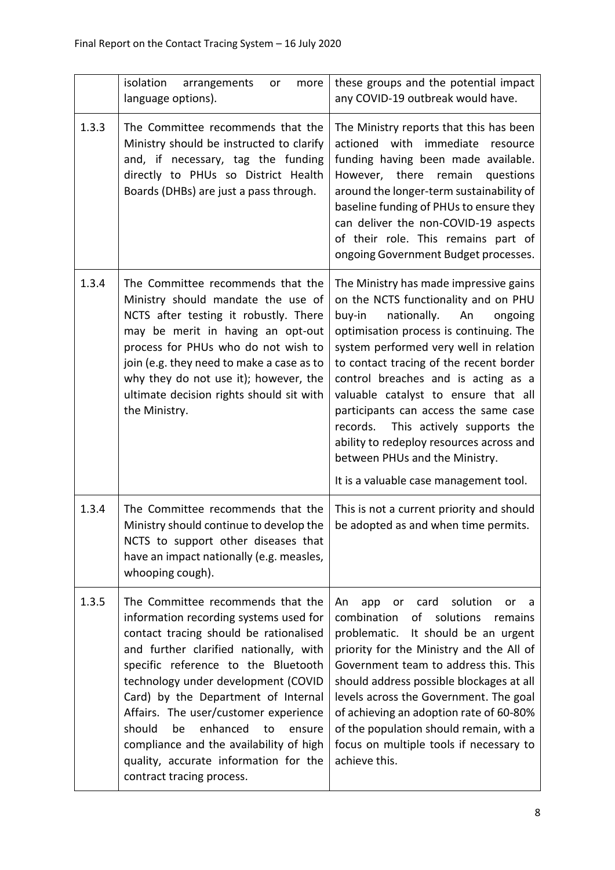|       | isolation<br>arrangements<br>more<br>or<br>language options).                                                                                                                                                                                                                                                                                                                                                                                                                              | these groups and the potential impact<br>any COVID-19 outbreak would have.                                                                                                                                                                                                                                                                                                                                                                                                                                                                      |
|-------|--------------------------------------------------------------------------------------------------------------------------------------------------------------------------------------------------------------------------------------------------------------------------------------------------------------------------------------------------------------------------------------------------------------------------------------------------------------------------------------------|-------------------------------------------------------------------------------------------------------------------------------------------------------------------------------------------------------------------------------------------------------------------------------------------------------------------------------------------------------------------------------------------------------------------------------------------------------------------------------------------------------------------------------------------------|
| 1.3.3 | The Committee recommends that the<br>Ministry should be instructed to clarify<br>and, if necessary, tag the funding<br>directly to PHUs so District Health<br>Boards (DHBs) are just a pass through.                                                                                                                                                                                                                                                                                       | The Ministry reports that this has been<br>actioned with immediate<br>resource<br>funding having been made available.<br>However, there remain<br>questions<br>around the longer-term sustainability of<br>baseline funding of PHUs to ensure they<br>can deliver the non-COVID-19 aspects<br>of their role. This remains part of<br>ongoing Government Budget processes.                                                                                                                                                                       |
| 1.3.4 | The Committee recommends that the<br>Ministry should mandate the use of<br>NCTS after testing it robustly. There<br>may be merit in having an opt-out<br>process for PHUs who do not wish to<br>join (e.g. they need to make a case as to<br>why they do not use it); however, the<br>ultimate decision rights should sit with<br>the Ministry.                                                                                                                                            | The Ministry has made impressive gains<br>on the NCTS functionality and on PHU<br>buy-in<br>nationally.<br>An<br>ongoing<br>optimisation process is continuing. The<br>system performed very well in relation<br>to contact tracing of the recent border<br>control breaches and is acting as a<br>valuable catalyst to ensure that all<br>participants can access the same case<br>records. This actively supports the<br>ability to redeploy resources across and<br>between PHUs and the Ministry.<br>It is a valuable case management tool. |
| 1.3.4 | The Committee recommends that the<br>Ministry should continue to develop the<br>NCTS to support other diseases that<br>have an impact nationally (e.g. measles,<br>whooping cough).                                                                                                                                                                                                                                                                                                        | This is not a current priority and should<br>be adopted as and when time permits.                                                                                                                                                                                                                                                                                                                                                                                                                                                               |
| 1.3.5 | The Committee recommends that the<br>information recording systems used for<br>contact tracing should be rationalised<br>and further clarified nationally, with<br>specific reference to the Bluetooth<br>technology under development (COVID<br>Card) by the Department of Internal<br>Affairs. The user/customer experience<br>should<br>enhanced<br>be<br>to<br>ensure<br>compliance and the availability of high<br>quality, accurate information for the<br>contract tracing process. | solution<br>card<br>An<br>app<br>or<br>or<br>a<br>combination<br>of<br>solutions<br>remains<br>problematic. It should be an urgent<br>priority for the Ministry and the All of<br>Government team to address this. This<br>should address possible blockages at all<br>levels across the Government. The goal<br>of achieving an adoption rate of 60-80%<br>of the population should remain, with a<br>focus on multiple tools if necessary to<br>achieve this.                                                                                 |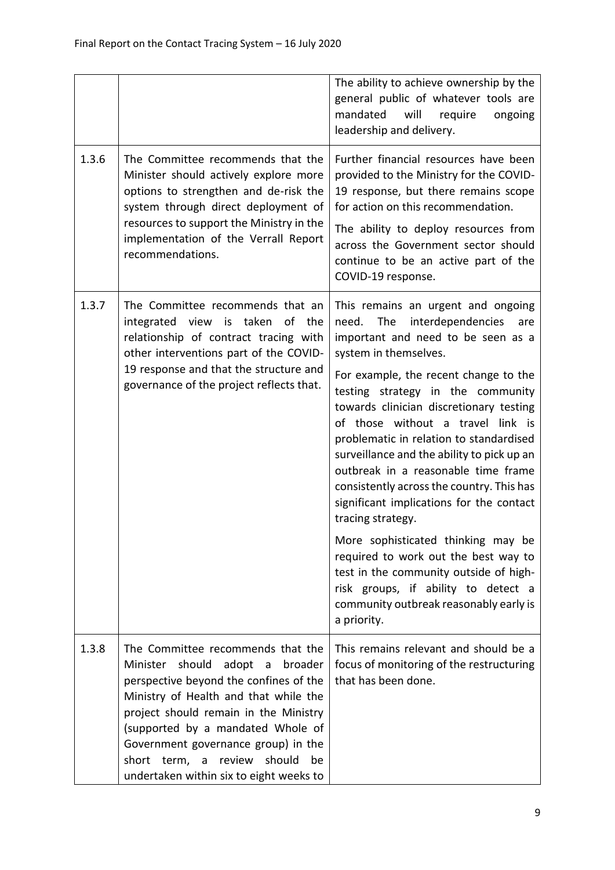|       |                                                                                                                                                                                                                                                                                                                                                                             | The ability to achieve ownership by the<br>general public of whatever tools are<br>mandated<br>will<br>require<br>ongoing<br>leadership and delivery.                                                                                                                                                                                                                                                                                                                                                                                                                                                                                                                                                                                                                             |
|-------|-----------------------------------------------------------------------------------------------------------------------------------------------------------------------------------------------------------------------------------------------------------------------------------------------------------------------------------------------------------------------------|-----------------------------------------------------------------------------------------------------------------------------------------------------------------------------------------------------------------------------------------------------------------------------------------------------------------------------------------------------------------------------------------------------------------------------------------------------------------------------------------------------------------------------------------------------------------------------------------------------------------------------------------------------------------------------------------------------------------------------------------------------------------------------------|
| 1.3.6 | The Committee recommends that the<br>Minister should actively explore more<br>options to strengthen and de-risk the<br>system through direct deployment of<br>resources to support the Ministry in the<br>implementation of the Verrall Report<br>recommendations.                                                                                                          | Further financial resources have been<br>provided to the Ministry for the COVID-<br>19 response, but there remains scope<br>for action on this recommendation.<br>The ability to deploy resources from<br>across the Government sector should<br>continue to be an active part of the<br>COVID-19 response.                                                                                                                                                                                                                                                                                                                                                                                                                                                                       |
| 1.3.7 | The Committee recommends that an<br>integrated view is taken<br>of the<br>relationship of contract tracing with<br>other interventions part of the COVID-<br>19 response and that the structure and<br>governance of the project reflects that.                                                                                                                             | This remains an urgent and ongoing<br>interdependencies<br>The<br>need.<br>are<br>important and need to be seen as a<br>system in themselves.<br>For example, the recent change to the<br>testing strategy in the community<br>towards clinician discretionary testing<br>of those without a travel link is<br>problematic in relation to standardised<br>surveillance and the ability to pick up an<br>outbreak in a reasonable time frame<br>consistently across the country. This has<br>significant implications for the contact<br>tracing strategy.<br>More sophisticated thinking may be<br>required to work out the best way to<br>test in the community outside of high-<br>risk groups, if ability to detect a<br>community outbreak reasonably early is<br>a priority. |
| 1.3.8 | The Committee recommends that the<br>should<br>adopt a<br>Minister<br>broader<br>perspective beyond the confines of the<br>Ministry of Health and that while the<br>project should remain in the Ministry<br>(supported by a mandated Whole of<br>Government governance group) in the<br>short term, a<br>review<br>should<br>be<br>undertaken within six to eight weeks to | This remains relevant and should be a<br>focus of monitoring of the restructuring<br>that has been done.                                                                                                                                                                                                                                                                                                                                                                                                                                                                                                                                                                                                                                                                          |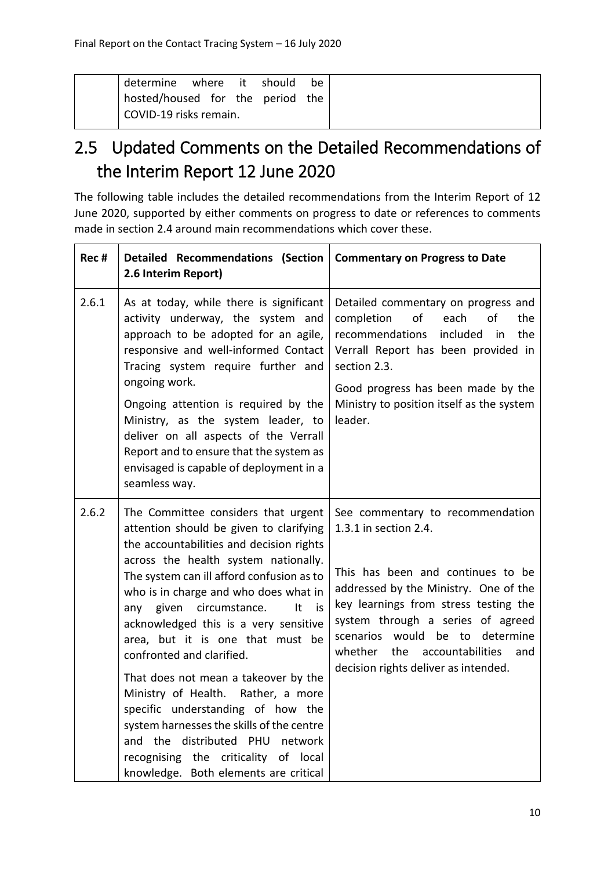| determine where it should        |  | be |
|----------------------------------|--|----|
| hosted/housed for the period the |  |    |
| COVID-19 risks remain.           |  |    |

### <span id="page-14-0"></span>2.5 Updated Comments on the Detailed Recommendations of the Interim Report 12 June 2020

The following table includes the detailed recommendations from the Interim Report of 12 June 2020, supported by either comments on progress to date or references to comments made in section 2.4 around main recommendations which cover these.

| Rec#  | <b>Detailed Recommendations (Section</b><br>2.6 Interim Report)                                                                                                                                                                                                                                                                                                                                                                                                                                                                                                                                                                                                                                        | <b>Commentary on Progress to Date</b>                                                                                                                                                                                                                                                                                                               |
|-------|--------------------------------------------------------------------------------------------------------------------------------------------------------------------------------------------------------------------------------------------------------------------------------------------------------------------------------------------------------------------------------------------------------------------------------------------------------------------------------------------------------------------------------------------------------------------------------------------------------------------------------------------------------------------------------------------------------|-----------------------------------------------------------------------------------------------------------------------------------------------------------------------------------------------------------------------------------------------------------------------------------------------------------------------------------------------------|
| 2.6.1 | As at today, while there is significant<br>activity underway, the system and<br>approach to be adopted for an agile,<br>responsive and well-informed Contact<br>Tracing system require further and<br>ongoing work.<br>Ongoing attention is required by the<br>Ministry, as the system leader, to<br>deliver on all aspects of the Verrall<br>Report and to ensure that the system as<br>envisaged is capable of deployment in a<br>seamless way.                                                                                                                                                                                                                                                      | Detailed commentary on progress and<br>of<br>each<br>of<br>completion<br>the<br>recommendations<br>included<br>the<br>in<br>Verrall Report has been provided in<br>section 2.3.<br>Good progress has been made by the<br>Ministry to position itself as the system<br>leader.                                                                       |
| 2.6.2 | The Committee considers that urgent<br>attention should be given to clarifying<br>the accountabilities and decision rights<br>across the health system nationally.<br>The system can ill afford confusion as to<br>who is in charge and who does what in<br>circumstance.<br>given<br>It<br>any<br>is<br>acknowledged this is a very sensitive<br>area, but it is one that must be<br>confronted and clarified.<br>That does not mean a takeover by the<br>Ministry of Health.<br>Rather, a more<br>specific understanding of how the<br>system harnesses the skills of the centre<br>and the distributed PHU network<br>recognising the criticality of local<br>knowledge. Both elements are critical | See commentary to recommendation<br>1.3.1 in section 2.4.<br>This has been and continues to be<br>addressed by the Ministry. One of the<br>key learnings from stress testing the<br>system through a series of agreed<br>would be to<br>determine<br>scenarios<br>whether<br>the<br>accountabilities<br>and<br>decision rights deliver as intended. |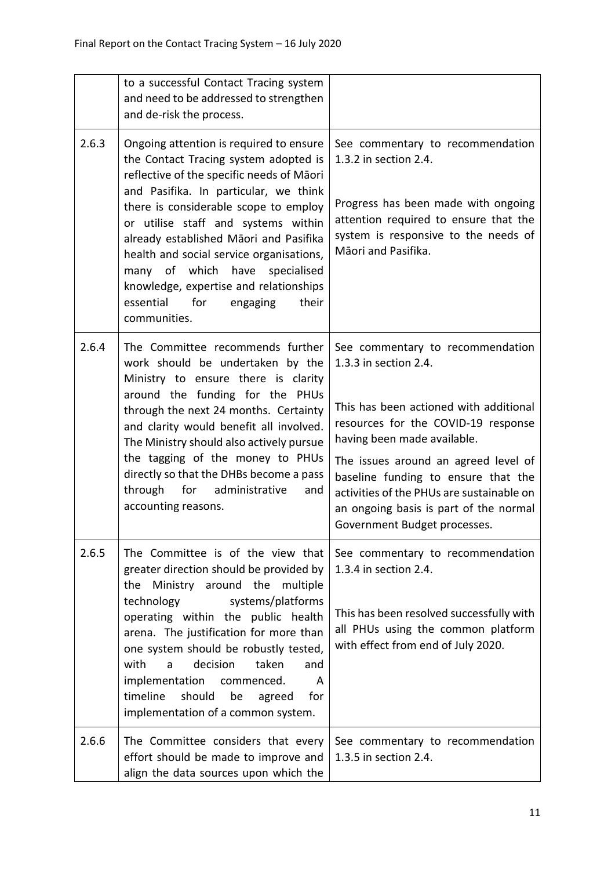|       | to a successful Contact Tracing system<br>and need to be addressed to strengthen<br>and de-risk the process.                                                                                                                                                                                                                                                                                                                                                                         |                                                                                                                                                                                                                                                                                                                                                                                 |
|-------|--------------------------------------------------------------------------------------------------------------------------------------------------------------------------------------------------------------------------------------------------------------------------------------------------------------------------------------------------------------------------------------------------------------------------------------------------------------------------------------|---------------------------------------------------------------------------------------------------------------------------------------------------------------------------------------------------------------------------------------------------------------------------------------------------------------------------------------------------------------------------------|
| 2.6.3 | Ongoing attention is required to ensure<br>the Contact Tracing system adopted is<br>reflective of the specific needs of Māori<br>and Pasifika. In particular, we think<br>there is considerable scope to employ<br>or utilise staff and systems within<br>already established Māori and Pasifika<br>health and social service organisations,<br>many of which have<br>specialised<br>knowledge, expertise and relationships<br>for<br>essential<br>their<br>engaging<br>communities. | See commentary to recommendation<br>1.3.2 in section 2.4.<br>Progress has been made with ongoing<br>attention required to ensure that the<br>system is responsive to the needs of<br>Māori and Pasifika.                                                                                                                                                                        |
| 2.6.4 | The Committee recommends further<br>work should be undertaken by the<br>Ministry to ensure there is clarity<br>around the funding for the PHUs<br>through the next 24 months. Certainty<br>and clarity would benefit all involved.<br>The Ministry should also actively pursue<br>the tagging of the money to PHUs<br>directly so that the DHBs become a pass<br>through<br>for administrative<br>and<br>accounting reasons.                                                         | See commentary to recommendation<br>1.3.3 in section 2.4.<br>This has been actioned with additional<br>resources for the COVID-19 response<br>having been made available.<br>The issues around an agreed level of<br>baseline funding to ensure that the<br>activities of the PHUs are sustainable on<br>an ongoing basis is part of the normal<br>Government Budget processes. |
| 2.6.5 | The Committee is of the view that<br>greater direction should be provided by<br>Ministry around the multiple<br>the<br>systems/platforms<br>technology<br>operating within the public health<br>arena. The justification for more than<br>one system should be robustly tested,<br>with<br>decision<br>taken<br>and<br>a<br>implementation<br>commenced.<br>A<br>timeline<br>should<br>for<br>be<br>agreed<br>implementation of a common system.                                     | See commentary to recommendation<br>1.3.4 in section 2.4.<br>This has been resolved successfully with<br>all PHUs using the common platform<br>with effect from end of July 2020.                                                                                                                                                                                               |
| 2.6.6 | The Committee considers that every<br>effort should be made to improve and<br>align the data sources upon which the                                                                                                                                                                                                                                                                                                                                                                  | See commentary to recommendation<br>1.3.5 in section 2.4.                                                                                                                                                                                                                                                                                                                       |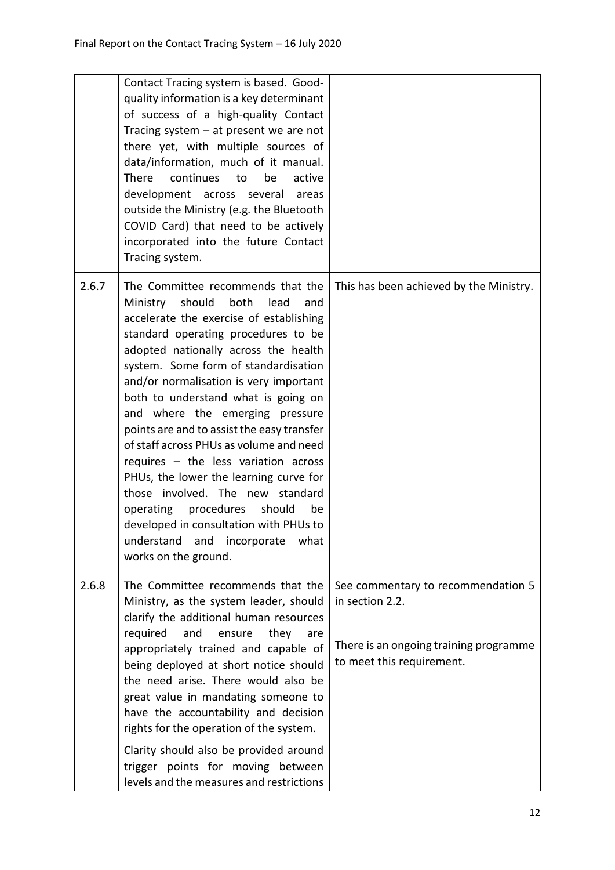|       | Contact Tracing system is based. Good-<br>quality information is a key determinant<br>of success of a high-quality Contact<br>Tracing system $-$ at present we are not<br>there yet, with multiple sources of<br>data/information, much of it manual.<br>There<br>continues<br>be<br>active<br>to<br>development across several areas<br>outside the Ministry (e.g. the Bluetooth<br>COVID Card) that need to be actively<br>incorporated into the future Contact<br>Tracing system.                                                                                                                                                                                                                                                        |                                                                                                                              |
|-------|---------------------------------------------------------------------------------------------------------------------------------------------------------------------------------------------------------------------------------------------------------------------------------------------------------------------------------------------------------------------------------------------------------------------------------------------------------------------------------------------------------------------------------------------------------------------------------------------------------------------------------------------------------------------------------------------------------------------------------------------|------------------------------------------------------------------------------------------------------------------------------|
| 2.6.7 | The Committee recommends that the<br>should<br>Ministry<br>both<br>lead<br>and<br>accelerate the exercise of establishing<br>standard operating procedures to be<br>adopted nationally across the health<br>system. Some form of standardisation<br>and/or normalisation is very important<br>both to understand what is going on<br>and where the emerging pressure<br>points are and to assist the easy transfer<br>of staff across PHUs as volume and need<br>requires $-$ the less variation across<br>PHUs, the lower the learning curve for<br>those involved. The new standard<br>operating procedures<br>should<br>be<br>developed in consultation with PHUs to<br>understand<br>and<br>incorporate<br>what<br>works on the ground. | This has been achieved by the Ministry.                                                                                      |
| 2.6.8 | The Committee recommends that the<br>Ministry, as the system leader, should<br>clarify the additional human resources<br>required<br>and<br>ensure<br>they<br>are<br>appropriately trained and capable of<br>being deployed at short notice should<br>the need arise. There would also be<br>great value in mandating someone to<br>have the accountability and decision<br>rights for the operation of the system.<br>Clarity should also be provided around<br>trigger points for moving between<br>levels and the measures and restrictions                                                                                                                                                                                              | See commentary to recommendation 5<br>in section 2.2.<br>There is an ongoing training programme<br>to meet this requirement. |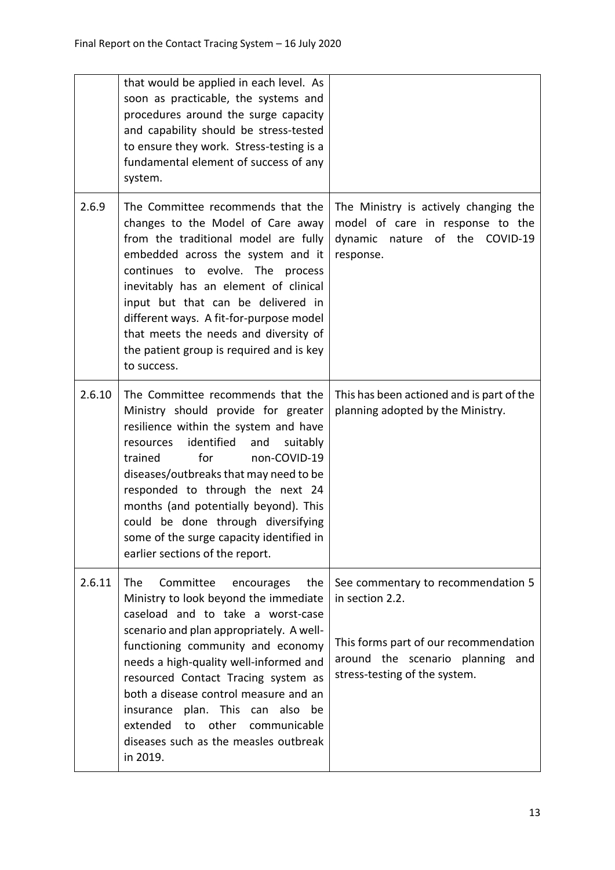|        | that would be applied in each level. As<br>soon as practicable, the systems and<br>procedures around the surge capacity<br>and capability should be stress-tested<br>to ensure they work. Stress-testing is a<br>fundamental element of success of any<br>system.                                                                                                                                                                                               |                                                                                                                                                                        |
|--------|-----------------------------------------------------------------------------------------------------------------------------------------------------------------------------------------------------------------------------------------------------------------------------------------------------------------------------------------------------------------------------------------------------------------------------------------------------------------|------------------------------------------------------------------------------------------------------------------------------------------------------------------------|
| 2.6.9  | The Committee recommends that the<br>changes to the Model of Care away<br>from the traditional model are fully<br>embedded across the system and it<br>continues to evolve. The process<br>inevitably has an element of clinical<br>input but that can be delivered in<br>different ways. A fit-for-purpose model<br>that meets the needs and diversity of<br>the patient group is required and is key<br>to success.                                           | The Ministry is actively changing the<br>model of care in response to the<br>dynamic nature of the COVID-19<br>response.                                               |
| 2.6.10 | The Committee recommends that the<br>Ministry should provide for greater<br>resilience within the system and have<br>identified<br>suitably<br>resources<br>and<br>for<br>trained<br>non-COVID-19<br>diseases/outbreaks that may need to be<br>responded to through the next 24<br>months (and potentially beyond). This<br>could be done through diversifying<br>some of the surge capacity identified in<br>earlier sections of the report.                   | This has been actioned and is part of the<br>planning adopted by the Ministry.                                                                                         |
| 2.6.11 | The<br>Committee<br>the<br>encourages<br>Ministry to look beyond the immediate<br>caseload and to take a worst-case<br>scenario and plan appropriately. A well-<br>functioning community and economy<br>needs a high-quality well-informed and<br>resourced Contact Tracing system as<br>both a disease control measure and an<br>plan. This can also be<br>insurance<br>extended to other<br>communicable<br>diseases such as the measles outbreak<br>in 2019. | See commentary to recommendation 5<br>in section 2.2.<br>This forms part of our recommendation<br>around the scenario planning<br>and<br>stress-testing of the system. |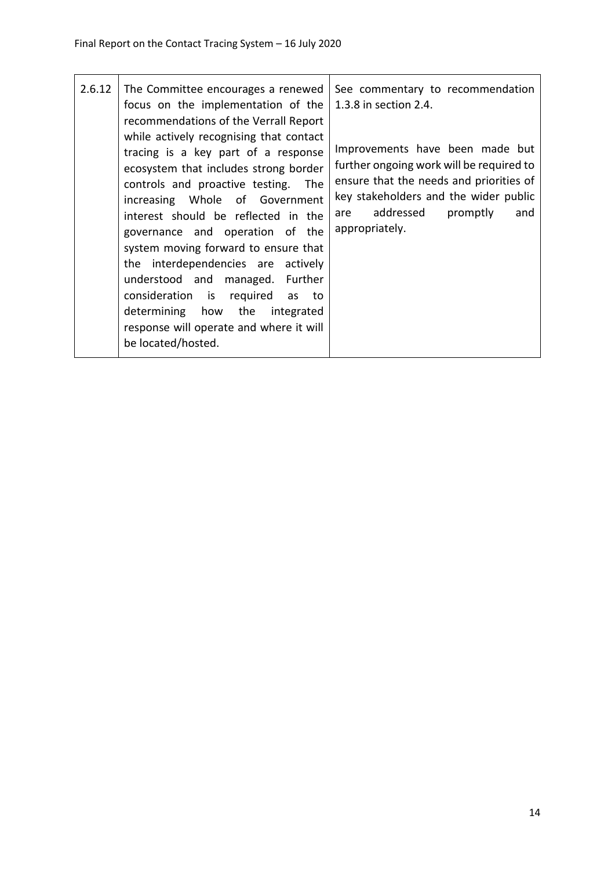| 2.6.12 | The Committee encourages a renewed<br>focus on the implementation of the<br>recommendations of the Verrall Report<br>while actively recognising that contact                                                                                                                                                                                                                                                                                                                           | See commentary to recommendation<br>1.3.8 in section 2.4.                                                                                                                                                                |
|--------|----------------------------------------------------------------------------------------------------------------------------------------------------------------------------------------------------------------------------------------------------------------------------------------------------------------------------------------------------------------------------------------------------------------------------------------------------------------------------------------|--------------------------------------------------------------------------------------------------------------------------------------------------------------------------------------------------------------------------|
|        | tracing is a key part of a response<br>ecosystem that includes strong border<br>controls and proactive testing. The<br>increasing Whole of Government<br>interest should be reflected in the<br>governance and operation of the<br>system moving forward to ensure that<br>the interdependencies are actively<br>understood and managed. Further<br>consideration is required as to<br>determining how the integrated<br>response will operate and where it will<br>be located/hosted. | Improvements have been made but<br>further ongoing work will be required to<br>ensure that the needs and priorities of<br>key stakeholders and the wider public<br>addressed<br>promptly<br>and<br>are<br>appropriately. |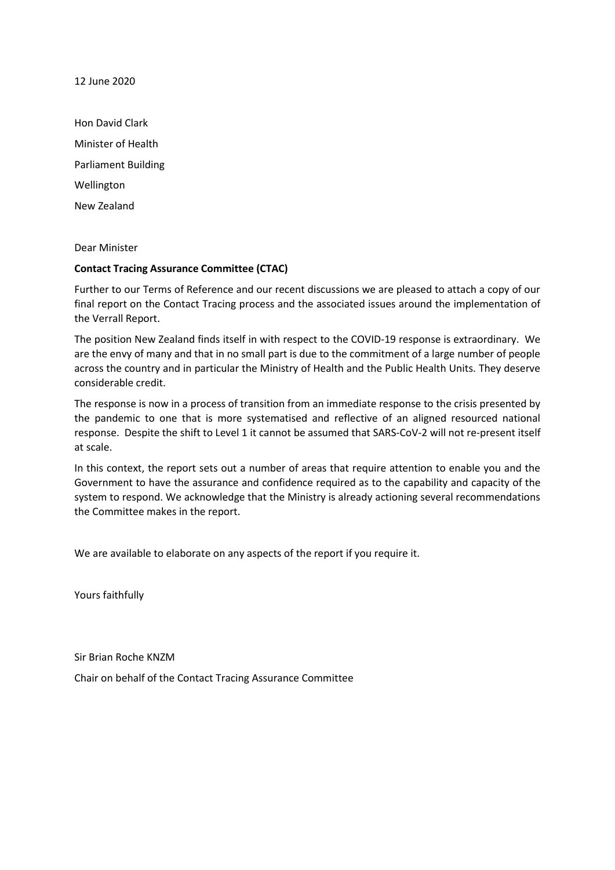12 June 2020

Hon David Clark Minister of Health Parliament Building Wellington New Zealand

Dear Minister

#### **Contact Tracing Assurance Committee (CTAC)**

Further to our Terms of Reference and our recent discussions we are pleased to attach a copy of our final report on the Contact Tracing process and the associated issues around the implementation of the Verrall Report.

The position New Zealand finds itself in with respect to the COVID-19 response is extraordinary. We are the envy of many and that in no small part is due to the commitment of a large number of people across the country and in particular the Ministry of Health and the Public Health Units. They deserve considerable credit.

The response is now in a process of transition from an immediate response to the crisis presented by the pandemic to one that is more systematised and reflective of an aligned resourced national response. Despite the shift to Level 1 it cannot be assumed that SARS-CoV-2 will not re-present itself at scale.

In this context, the report sets out a number of areas that require attention to enable you and the Government to have the assurance and confidence required as to the capability and capacity of the system to respond. We acknowledge that the Ministry is already actioning several recommendations the Committee makes in the report.

We are available to elaborate on any aspects of the report if you require it.

Yours faithfully

Sir Brian Roche KNZM

Chair on behalf of the Contact Tracing Assurance Committee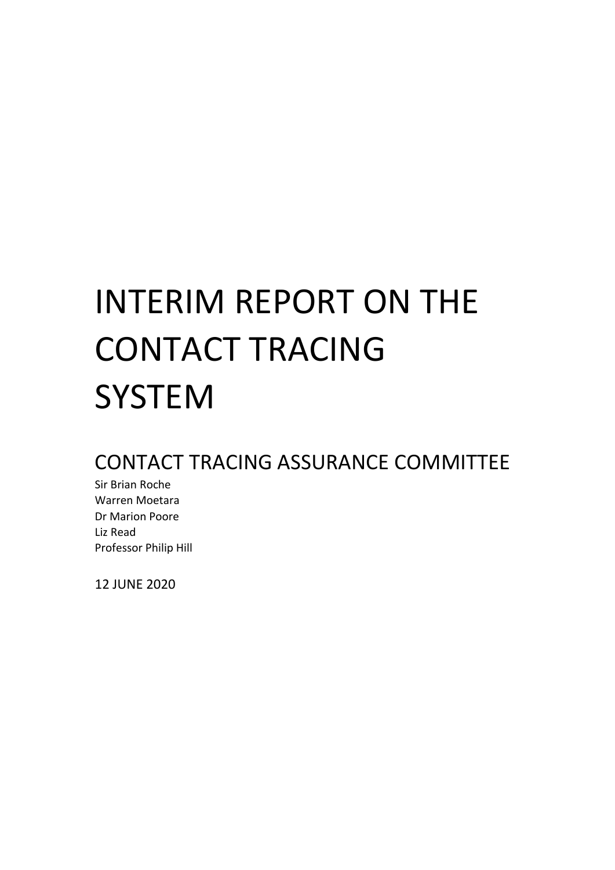# INTERIM REPORT ON THE CONTACT TRACING **SYSTEM**

### CONTACT TRACING ASSURANCE COMMITTEE

Sir Brian Roche Warren Moetara Dr Marion Poore Liz Read Professor Philip Hill

12 JUNE 2020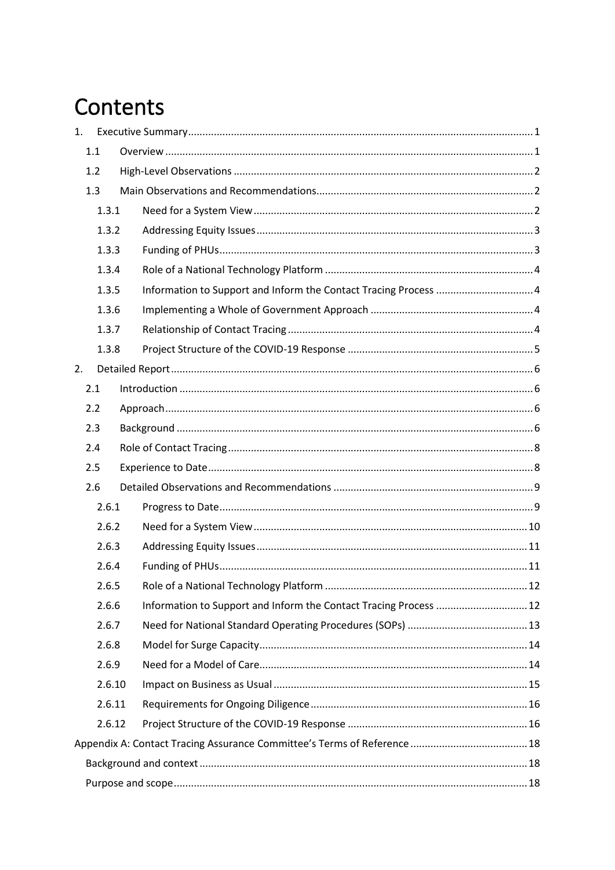# Contents

| 1. |     |        |                                                                   |  |
|----|-----|--------|-------------------------------------------------------------------|--|
|    | 1.1 |        |                                                                   |  |
|    | 1.2 |        |                                                                   |  |
|    | 1.3 |        |                                                                   |  |
|    |     | 1.3.1  |                                                                   |  |
|    |     | 1.3.2  |                                                                   |  |
|    |     | 1.3.3  |                                                                   |  |
|    |     | 1.3.4  |                                                                   |  |
|    |     | 1.3.5  |                                                                   |  |
|    |     | 1.3.6  |                                                                   |  |
|    |     | 1.3.7  |                                                                   |  |
|    |     | 1.3.8  |                                                                   |  |
| 2. |     |        |                                                                   |  |
|    | 2.1 |        |                                                                   |  |
|    | 2.2 |        |                                                                   |  |
|    | 2.3 |        |                                                                   |  |
|    | 2.4 |        |                                                                   |  |
|    | 2.5 |        |                                                                   |  |
|    | 2.6 |        |                                                                   |  |
|    |     | 2.6.1  |                                                                   |  |
|    |     | 2.6.2  |                                                                   |  |
|    |     | 2.6.3  |                                                                   |  |
|    |     | 2.6.4  |                                                                   |  |
|    |     | 2.6.5  |                                                                   |  |
|    |     | 2.6.6  | Information to Support and Inform the Contact Tracing Process  12 |  |
|    |     | 2.6.7  |                                                                   |  |
|    |     | 2.6.8  |                                                                   |  |
|    |     | 2.6.9  |                                                                   |  |
|    |     | 2.6.10 |                                                                   |  |
|    |     | 2.6.11 |                                                                   |  |
|    |     | 2.6.12 |                                                                   |  |
|    |     |        |                                                                   |  |
|    |     |        |                                                                   |  |
|    |     |        |                                                                   |  |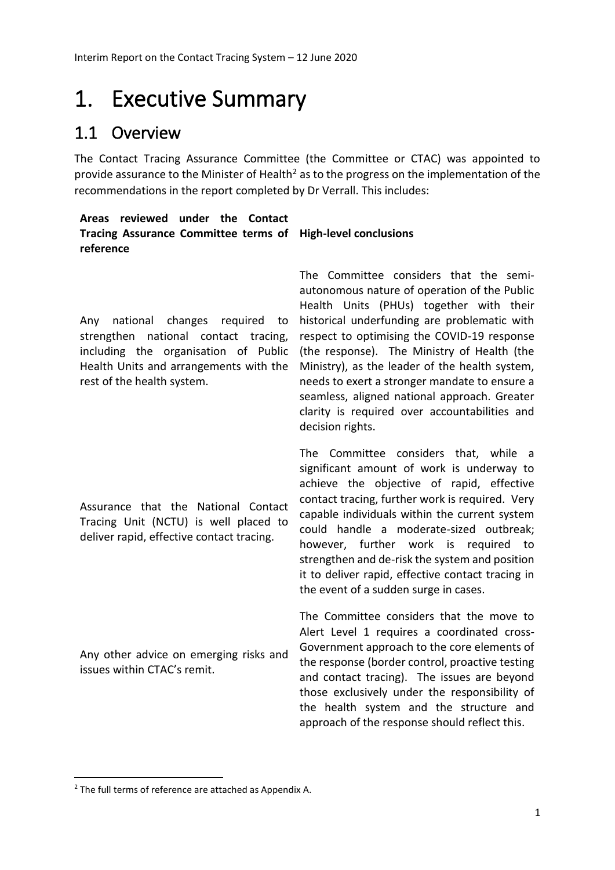## <span id="page-24-0"></span>1. Executive Summary

### <span id="page-24-1"></span>1.1 Overview

The Contact Tracing Assurance Committee (the Committee or CTAC) was appointed to provide assurance to the Minister of Health<sup>2</sup> as to the progress on the implementation of the recommendations in the report completed by Dr Verrall. This includes:

#### **Areas reviewed under the Contact Tracing Assurance Committee terms of High-level conclusions reference**

Any national changes required to strengthen national contact tracing, Health Units and arrangements with the rest of the health system.

Assurance that the National Contact Tracing Unit (NCTU) is well placed to deliver rapid, effective contact tracing.

Any other advice on emerging risks and issues within CTAC's remit.

including the organisation of Public (the response). The Ministry of Health (the The Committee considers that the semiautonomous nature of operation of the Public Health Units (PHUs) together with their historical underfunding are problematic with respect to optimising the COVID-19 response Ministry), as the leader of the health system, needs to exert a stronger mandate to ensure a seamless, aligned national approach. Greater clarity is required over accountabilities and decision rights.

> The Committee considers that, while a significant amount of work is underway to achieve the objective of rapid, effective contact tracing, further work is required. Very capable individuals within the current system could handle a moderate-sized outbreak; however, further work is required to strengthen and de-risk the system and position it to deliver rapid, effective contact tracing in the event of a sudden surge in cases.

> The Committee considers that the move to Alert Level 1 requires a coordinated cross-Government approach to the core elements of the response (border control, proactive testing and contact tracing). The issues are beyond those exclusively under the responsibility of the health system and the structure and approach of the response should reflect this.

**.** 

<sup>2</sup> The full terms of reference are attached as Appendix A.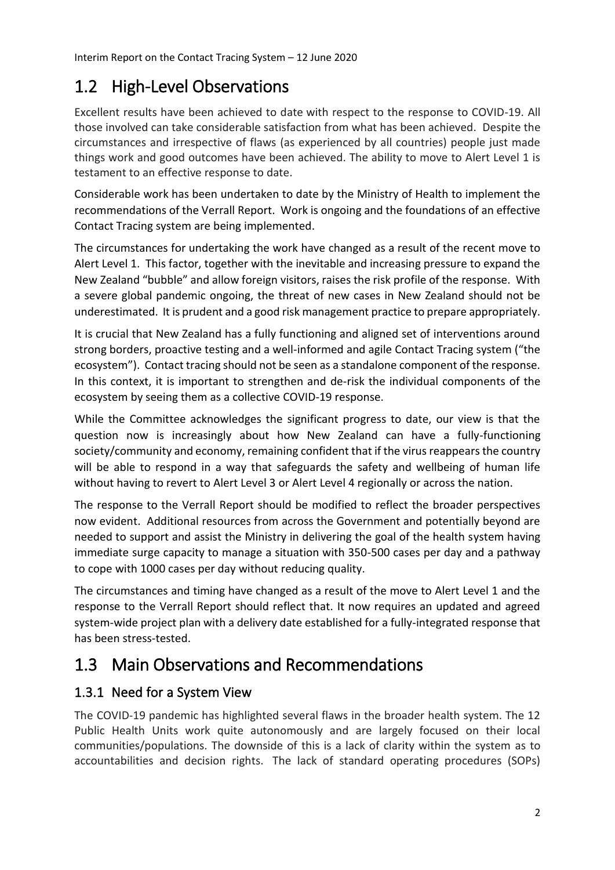### <span id="page-25-0"></span>1.2 High-Level Observations

Excellent results have been achieved to date with respect to the response to COVID-19. All those involved can take considerable satisfaction from what has been achieved. Despite the circumstances and irrespective of flaws (as experienced by all countries) people just made things work and good outcomes have been achieved. The ability to move to Alert Level 1 is testament to an effective response to date.

Considerable work has been undertaken to date by the Ministry of Health to implement the recommendations of the Verrall Report. Work is ongoing and the foundations of an effective Contact Tracing system are being implemented.

The circumstances for undertaking the work have changed as a result of the recent move to Alert Level 1. This factor, together with the inevitable and increasing pressure to expand the New Zealand "bubble" and allow foreign visitors, raises the risk profile of the response. With a severe global pandemic ongoing, the threat of new cases in New Zealand should not be underestimated. It is prudent and a good risk management practice to prepare appropriately.

It is crucial that New Zealand has a fully functioning and aligned set of interventions around strong borders, proactive testing and a well-informed and agile Contact Tracing system ("the ecosystem"). Contact tracing should not be seen as a standalone component of the response. In this context, it is important to strengthen and de-risk the individual components of the ecosystem by seeing them as a collective COVID-19 response.

While the Committee acknowledges the significant progress to date, our view is that the question now is increasingly about how New Zealand can have a fully-functioning society/community and economy, remaining confident that if the virus reappears the country will be able to respond in a way that safeguards the safety and wellbeing of human life without having to revert to Alert Level 3 or Alert Level 4 regionally or across the nation.

The response to the Verrall Report should be modified to reflect the broader perspectives now evident. Additional resources from across the Government and potentially beyond are needed to support and assist the Ministry in delivering the goal of the health system having immediate surge capacity to manage a situation with 350-500 cases per day and a pathway to cope with 1000 cases per day without reducing quality.

The circumstances and timing have changed as a result of the move to Alert Level 1 and the response to the Verrall Report should reflect that. It now requires an updated and agreed system-wide project plan with a delivery date established for a fully-integrated response that has been stress-tested.

### <span id="page-25-1"></span>1.3 Main Observations and Recommendations

### <span id="page-25-2"></span>1.3.1 Need for a System View

The COVID-19 pandemic has highlighted several flaws in the broader health system. The 12 Public Health Units work quite autonomously and are largely focused on their local communities/populations. The downside of this is a lack of clarity within the system as to accountabilities and decision rights. The lack of standard operating procedures (SOPs)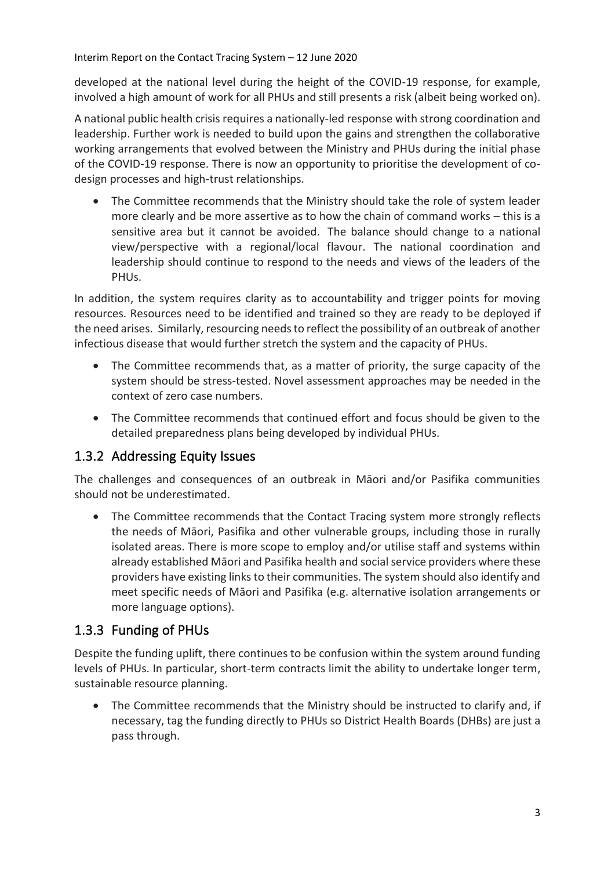developed at the national level during the height of the COVID-19 response, for example, involved a high amount of work for all PHUs and still presents a risk (albeit being worked on).

A national public health crisis requires a nationally-led response with strong coordination and leadership. Further work is needed to build upon the gains and strengthen the collaborative working arrangements that evolved between the Ministry and PHUs during the initial phase of the COVID-19 response. There is now an opportunity to prioritise the development of codesign processes and high-trust relationships.

• The Committee recommends that the Ministry should take the role of system leader more clearly and be more assertive as to how the chain of command works – this is a sensitive area but it cannot be avoided. The balance should change to a national view/perspective with a regional/local flavour. The national coordination and leadership should continue to respond to the needs and views of the leaders of the PHUs.

In addition, the system requires clarity as to accountability and trigger points for moving resources. Resources need to be identified and trained so they are ready to be deployed if the need arises. Similarly, resourcing needs to reflect the possibility of an outbreak of another infectious disease that would further stretch the system and the capacity of PHUs.

- The Committee recommends that, as a matter of priority, the surge capacity of the system should be stress-tested. Novel assessment approaches may be needed in the context of zero case numbers.
- The Committee recommends that continued effort and focus should be given to the detailed preparedness plans being developed by individual PHUs.

#### <span id="page-26-0"></span>1.3.2 Addressing Equity Issues

The challenges and consequences of an outbreak in Māori and/or Pasifika communities should not be underestimated.

• The Committee recommends that the Contact Tracing system more strongly reflects the needs of Māori, Pasifika and other vulnerable groups, including those in rurally isolated areas. There is more scope to employ and/or utilise staff and systems within already established Māori and Pasifika health and social service providers where these providers have existing links to their communities. The system should also identify and meet specific needs of Māori and Pasifika (e.g. alternative isolation arrangements or more language options).

#### <span id="page-26-1"></span>1.3.3 Funding of PHUs

Despite the funding uplift, there continues to be confusion within the system around funding levels of PHUs. In particular, short-term contracts limit the ability to undertake longer term, sustainable resource planning.

The Committee recommends that the Ministry should be instructed to clarify and, if necessary, tag the funding directly to PHUs so District Health Boards (DHBs) are just a pass through.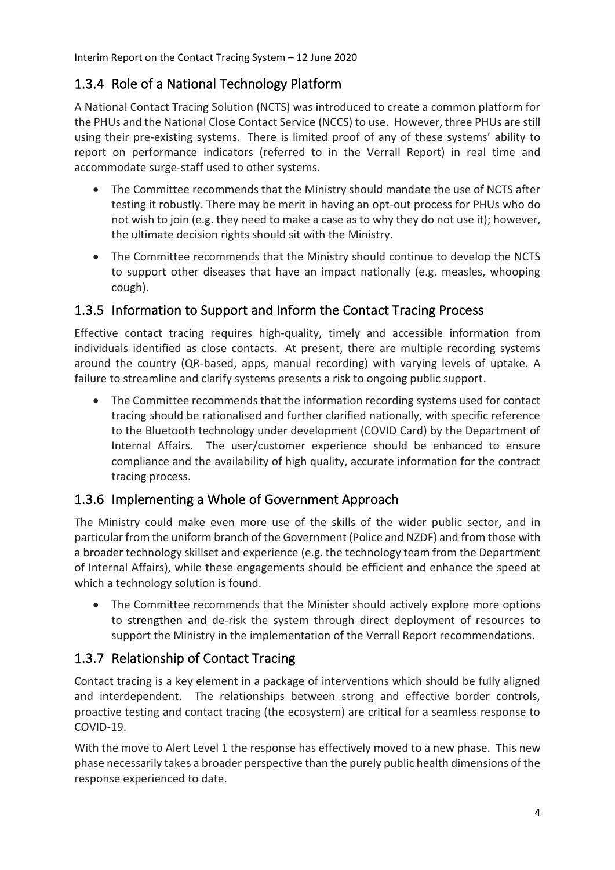### <span id="page-27-0"></span>1.3.4 Role of a National Technology Platform

A National Contact Tracing Solution (NCTS) was introduced to create a common platform for the PHUs and the National Close Contact Service (NCCS) to use. However, three PHUs are still using their pre-existing systems. There is limited proof of any of these systems' ability to report on performance indicators (referred to in the Verrall Report) in real time and accommodate surge-staff used to other systems.

- The Committee recommends that the Ministry should mandate the use of NCTS after testing it robustly. There may be merit in having an opt-out process for PHUs who do not wish to join (e.g. they need to make a case as to why they do not use it); however, the ultimate decision rights should sit with the Ministry.
- The Committee recommends that the Ministry should continue to develop the NCTS to support other diseases that have an impact nationally (e.g. measles, whooping cough).

#### <span id="page-27-1"></span>1.3.5 Information to Support and Inform the Contact Tracing Process

Effective contact tracing requires high-quality, timely and accessible information from individuals identified as close contacts. At present, there are multiple recording systems around the country (QR-based, apps, manual recording) with varying levels of uptake. A failure to streamline and clarify systems presents a risk to ongoing public support.

• The Committee recommends that the information recording systems used for contact tracing should be rationalised and further clarified nationally, with specific reference to the Bluetooth technology under development (COVID Card) by the Department of Internal Affairs. The user/customer experience should be enhanced to ensure compliance and the availability of high quality, accurate information for the contract tracing process.

#### <span id="page-27-2"></span>1.3.6 Implementing a Whole of Government Approach

The Ministry could make even more use of the skills of the wider public sector, and in particular from the uniform branch of the Government (Police and NZDF) and from those with a broader technology skillset and experience (e.g. the technology team from the Department of Internal Affairs), while these engagements should be efficient and enhance the speed at which a technology solution is found.

• The Committee recommends that the Minister should actively explore more options to strengthen and de-risk the system through direct deployment of resources to support the Ministry in the implementation of the Verrall Report recommendations.

### <span id="page-27-3"></span>1.3.7 Relationship of Contact Tracing

Contact tracing is a key element in a package of interventions which should be fully aligned and interdependent. The relationships between strong and effective border controls, proactive testing and contact tracing (the ecosystem) are critical for a seamless response to COVID-19.

With the move to Alert Level 1 the response has effectively moved to a new phase. This new phase necessarily takes a broader perspective than the purely public health dimensions of the response experienced to date.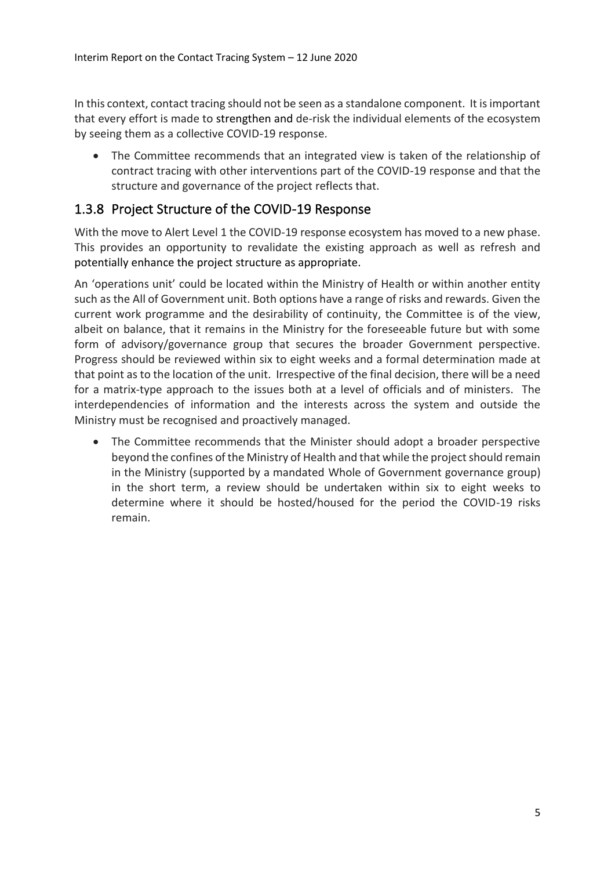In this context, contact tracing should not be seen as a standalone component. It is important that every effort is made to strengthen and de-risk the individual elements of the ecosystem by seeing them as a collective COVID-19 response.

• The Committee recommends that an integrated view is taken of the relationship of contract tracing with other interventions part of the COVID-19 response and that the structure and governance of the project reflects that.

#### <span id="page-28-0"></span>1.3.8 Project Structure of the COVID-19 Response

With the move to Alert Level 1 the COVID-19 response ecosystem has moved to a new phase. This provides an opportunity to revalidate the existing approach as well as refresh and potentially enhance the project structure as appropriate.

An 'operations unit' could be located within the Ministry of Health or within another entity such as the All of Government unit. Both options have a range of risks and rewards. Given the current work programme and the desirability of continuity, the Committee is of the view, albeit on balance, that it remains in the Ministry for the foreseeable future but with some form of advisory/governance group that secures the broader Government perspective. Progress should be reviewed within six to eight weeks and a formal determination made at that point as to the location of the unit. Irrespective of the final decision, there will be a need for a matrix-type approach to the issues both at a level of officials and of ministers. The interdependencies of information and the interests across the system and outside the Ministry must be recognised and proactively managed.

• The Committee recommends that the Minister should adopt a broader perspective beyond the confines of the Ministry of Health and that while the project should remain in the Ministry (supported by a mandated Whole of Government governance group) in the short term, a review should be undertaken within six to eight weeks to determine where it should be hosted/housed for the period the COVID-19 risks remain.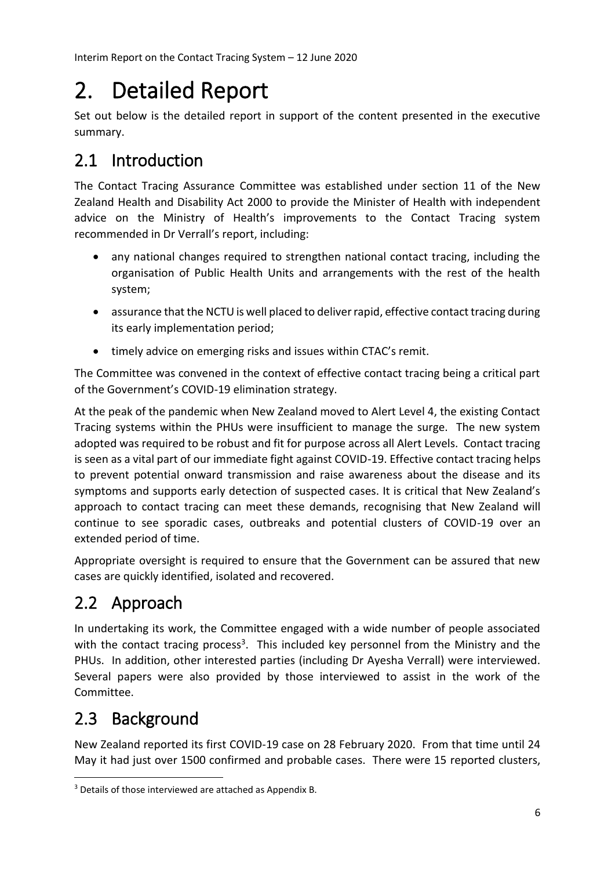# <span id="page-29-0"></span>2. Detailed Report

Set out below is the detailed report in support of the content presented in the executive summary.

### <span id="page-29-1"></span>2.1 Introduction

The Contact Tracing Assurance Committee was established under section 11 of the New Zealand Health and Disability Act 2000 to provide the Minister of Health with independent advice on the Ministry of Health's improvements to the Contact Tracing system recommended in Dr Verrall's report, including:

- any national changes required to strengthen national contact tracing, including the organisation of Public Health Units and arrangements with the rest of the health system;
- assurance that the NCTU is well placed to deliver rapid, effective contact tracing during its early implementation period;
- timely advice on emerging risks and issues within CTAC's remit.

The Committee was convened in the context of effective contact tracing being a critical part of the Government's COVID-19 elimination strategy.

At the peak of the pandemic when New Zealand moved to Alert Level 4, the existing Contact Tracing systems within the PHUs were insufficient to manage the surge. The new system adopted was required to be robust and fit for purpose across all Alert Levels. Contact tracing is seen as a vital part of our immediate fight against COVID-19. Effective contact tracing helps to prevent potential onward transmission and raise awareness about the disease and its symptoms and supports early detection of suspected cases. It is critical that New Zealand's approach to contact tracing can meet these demands, recognising that New Zealand will continue to see sporadic cases, outbreaks and potential clusters of COVID-19 over an extended period of time.

Appropriate oversight is required to ensure that the Government can be assured that new cases are quickly identified, isolated and recovered.

### <span id="page-29-2"></span>2.2 Approach

In undertaking its work, the Committee engaged with a wide number of people associated with the contact tracing process<sup>3</sup>. This included key personnel from the Ministry and the PHUs. In addition, other interested parties (including Dr Ayesha Verrall) were interviewed. Several papers were also provided by those interviewed to assist in the work of the Committee.

### <span id="page-29-3"></span>2.3 Background

**.** 

New Zealand reported its first COVID-19 case on 28 February 2020. From that time until 24 May it had just over 1500 confirmed and probable cases. There were 15 reported clusters,

<sup>3</sup> Details of those interviewed are attached as Appendix B.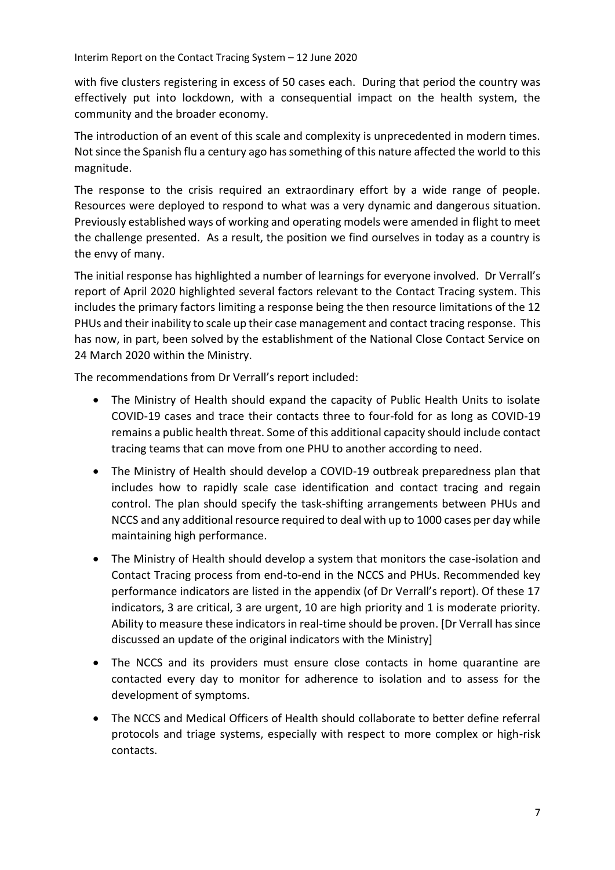with five clusters registering in excess of 50 cases each. During that period the country was effectively put into lockdown, with a consequential impact on the health system, the community and the broader economy.

The introduction of an event of this scale and complexity is unprecedented in modern times. Not since the Spanish flu a century ago has something of this nature affected the world to this magnitude.

The response to the crisis required an extraordinary effort by a wide range of people. Resources were deployed to respond to what was a very dynamic and dangerous situation. Previously established ways of working and operating models were amended in flight to meet the challenge presented. As a result, the position we find ourselves in today as a country is the envy of many.

The initial response has highlighted a number of learnings for everyone involved. Dr Verrall's report of April 2020 highlighted several factors relevant to the Contact Tracing system. This includes the primary factors limiting a response being the then resource limitations of the 12 PHUs and their inability to scale up their case management and contact tracing response. This has now, in part, been solved by the establishment of the National Close Contact Service on 24 March 2020 within the Ministry.

The recommendations from Dr Verrall's report included:

- The Ministry of Health should expand the capacity of Public Health Units to isolate COVID-19 cases and trace their contacts three to four-fold for as long as COVID-19 remains a public health threat. Some of this additional capacity should include contact tracing teams that can move from one PHU to another according to need.
- The Ministry of Health should develop a COVID-19 outbreak preparedness plan that includes how to rapidly scale case identification and contact tracing and regain control. The plan should specify the task-shifting arrangements between PHUs and NCCS and any additional resource required to deal with up to 1000 cases per day while maintaining high performance.
- The Ministry of Health should develop a system that monitors the case-isolation and Contact Tracing process from end-to-end in the NCCS and PHUs. Recommended key performance indicators are listed in the appendix (of Dr Verrall's report). Of these 17 indicators, 3 are critical, 3 are urgent, 10 are high priority and 1 is moderate priority. Ability to measure these indicators in real-time should be proven. [Dr Verrall has since discussed an update of the original indicators with the Ministry]
- The NCCS and its providers must ensure close contacts in home quarantine are contacted every day to monitor for adherence to isolation and to assess for the development of symptoms.
- The NCCS and Medical Officers of Health should collaborate to better define referral protocols and triage systems, especially with respect to more complex or high-risk contacts.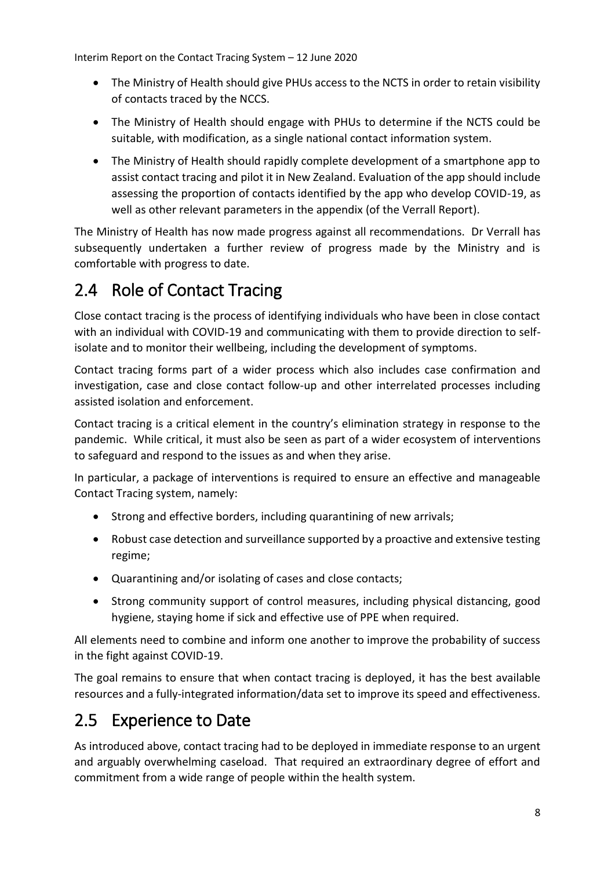- The Ministry of Health should give PHUs access to the NCTS in order to retain visibility of contacts traced by the NCCS.
- The Ministry of Health should engage with PHUs to determine if the NCTS could be suitable, with modification, as a single national contact information system.
- The Ministry of Health should rapidly complete development of a smartphone app to assist contact tracing and pilot it in New Zealand. Evaluation of the app should include assessing the proportion of contacts identified by the app who develop COVID-19, as well as other relevant parameters in the appendix (of the Verrall Report).

The Ministry of Health has now made progress against all recommendations. Dr Verrall has subsequently undertaken a further review of progress made by the Ministry and is comfortable with progress to date.

### <span id="page-31-0"></span>2.4 Role of Contact Tracing

Close contact tracing is the process of identifying individuals who have been in close contact with an individual with COVID-19 and communicating with them to provide direction to selfisolate and to monitor their wellbeing, including the development of symptoms.

Contact tracing forms part of a wider process which also includes case confirmation and investigation, case and close contact follow-up and other interrelated processes including assisted isolation and enforcement.

Contact tracing is a critical element in the country's elimination strategy in response to the pandemic. While critical, it must also be seen as part of a wider ecosystem of interventions to safeguard and respond to the issues as and when they arise.

In particular, a package of interventions is required to ensure an effective and manageable Contact Tracing system, namely:

- Strong and effective borders, including quarantining of new arrivals;
- Robust case detection and surveillance supported by a proactive and extensive testing regime;
- Quarantining and/or isolating of cases and close contacts;
- Strong community support of control measures, including physical distancing, good hygiene, staying home if sick and effective use of PPE when required.

All elements need to combine and inform one another to improve the probability of success in the fight against COVID-19.

The goal remains to ensure that when contact tracing is deployed, it has the best available resources and a fully-integrated information/data set to improve its speed and effectiveness.

### <span id="page-31-1"></span>2.5 Experience to Date

As introduced above, contact tracing had to be deployed in immediate response to an urgent and arguably overwhelming caseload. That required an extraordinary degree of effort and commitment from a wide range of people within the health system.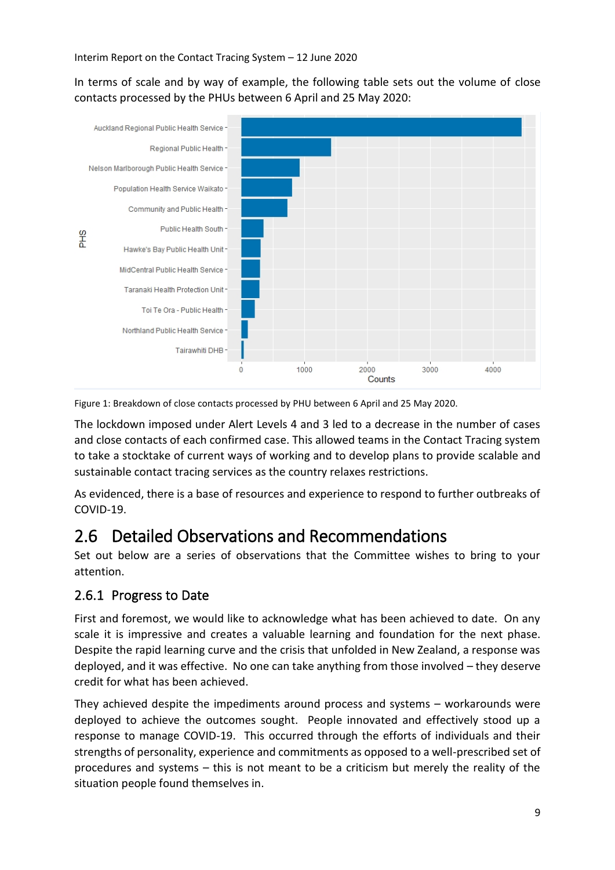In terms of scale and by way of example, the following table sets out the volume of close contacts processed by the PHUs between 6 April and 25 May 2020:



Figure 1: Breakdown of close contacts processed by PHU between 6 April and 25 May 2020.

The lockdown imposed under Alert Levels 4 and 3 led to a decrease in the number of cases and close contacts of each confirmed case. This allowed teams in the Contact Tracing system to take a stocktake of current ways of working and to develop plans to provide scalable and sustainable contact tracing services as the country relaxes restrictions.

As evidenced, there is a base of resources and experience to respond to further outbreaks of COVID-19.

### <span id="page-32-0"></span>2.6 Detailed Observations and Recommendations

Set out below are a series of observations that the Committee wishes to bring to your attention.

#### <span id="page-32-1"></span>2.6.1 Progress to Date

First and foremost, we would like to acknowledge what has been achieved to date. On any scale it is impressive and creates a valuable learning and foundation for the next phase. Despite the rapid learning curve and the crisis that unfolded in New Zealand, a response was deployed, and it was effective. No one can take anything from those involved – they deserve credit for what has been achieved.

They achieved despite the impediments around process and systems – workarounds were deployed to achieve the outcomes sought. People innovated and effectively stood up a response to manage COVID-19. This occurred through the efforts of individuals and their strengths of personality, experience and commitments as opposed to a well-prescribed set of procedures and systems – this is not meant to be a criticism but merely the reality of the situation people found themselves in.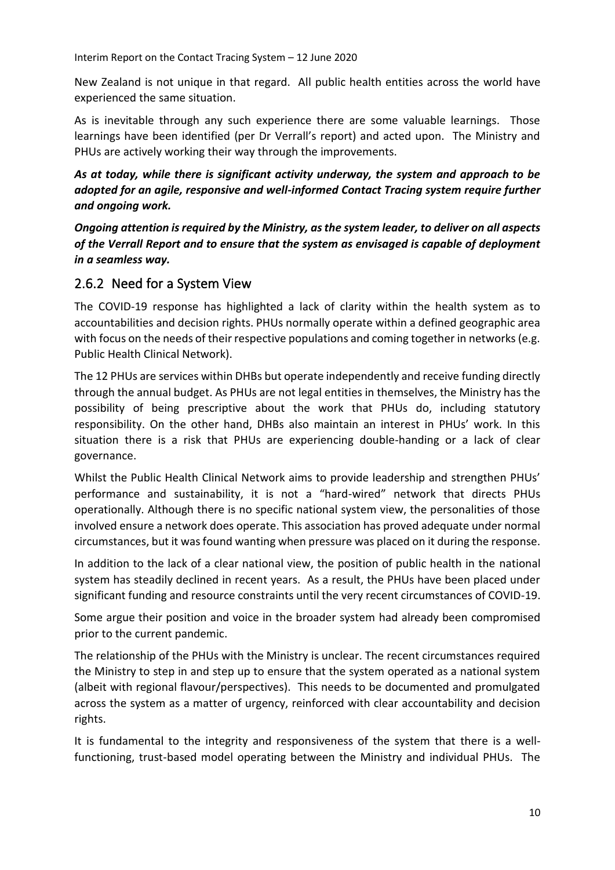New Zealand is not unique in that regard. All public health entities across the world have experienced the same situation.

As is inevitable through any such experience there are some valuable learnings. Those learnings have been identified (per Dr Verrall's report) and acted upon. The Ministry and PHUs are actively working their way through the improvements.

*As at today, while there is significant activity underway, the system and approach to be adopted for an agile, responsive and well-informed Contact Tracing system require further and ongoing work.*

*Ongoing attention is required by the Ministry, as the system leader, to deliver on all aspects of the Verrall Report and to ensure that the system as envisaged is capable of deployment in a seamless way.*

#### <span id="page-33-0"></span>2.6.2 Need for a System View

The COVID-19 response has highlighted a lack of clarity within the health system as to accountabilities and decision rights. PHUs normally operate within a defined geographic area with focus on the needs of their respective populations and coming together in networks (e.g. Public Health Clinical Network).

The 12 PHUs are services within DHBs but operate independently and receive funding directly through the annual budget. As PHUs are not legal entities in themselves, the Ministry has the possibility of being prescriptive about the work that PHUs do, including statutory responsibility. On the other hand, DHBs also maintain an interest in PHUs' work. In this situation there is a risk that PHUs are experiencing double-handing or a lack of clear governance.

Whilst the Public Health Clinical Network aims to provide leadership and strengthen PHUs' performance and sustainability, it is not a "hard-wired" network that directs PHUs operationally. Although there is no specific national system view, the personalities of those involved ensure a network does operate. This association has proved adequate under normal circumstances, but it was found wanting when pressure was placed on it during the response.

In addition to the lack of a clear national view, the position of public health in the national system has steadily declined in recent years. As a result, the PHUs have been placed under significant funding and resource constraints until the very recent circumstances of COVID-19.

Some argue their position and voice in the broader system had already been compromised prior to the current pandemic.

The relationship of the PHUs with the Ministry is unclear. The recent circumstances required the Ministry to step in and step up to ensure that the system operated as a national system (albeit with regional flavour/perspectives). This needs to be documented and promulgated across the system as a matter of urgency, reinforced with clear accountability and decision rights.

It is fundamental to the integrity and responsiveness of the system that there is a wellfunctioning, trust-based model operating between the Ministry and individual PHUs. The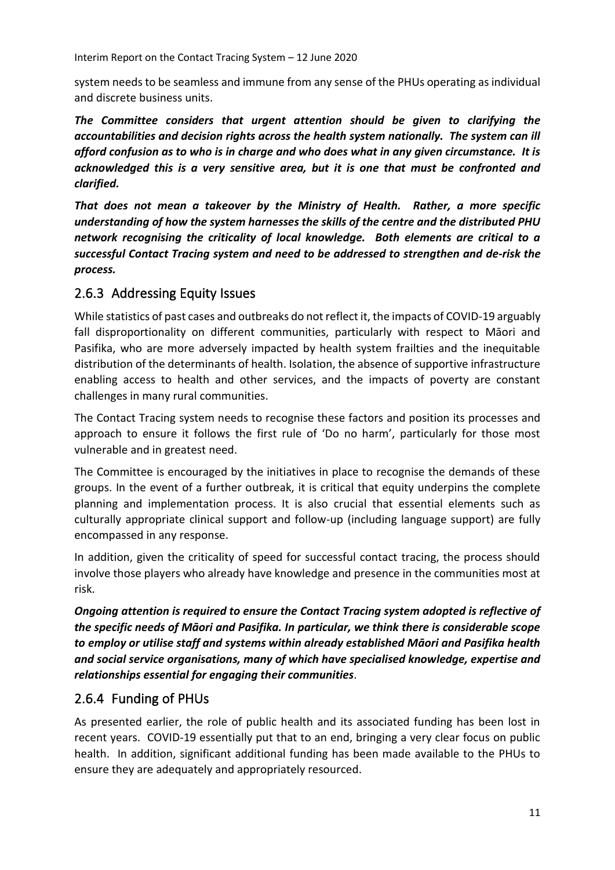system needs to be seamless and immune from any sense of the PHUs operating as individual and discrete business units.

*The Committee considers that urgent attention should be given to clarifying the accountabilities and decision rights across the health system nationally. The system can ill afford confusion as to who is in charge and who does what in any given circumstance. It is acknowledged this is a very sensitive area, but it is one that must be confronted and clarified.*

*That does not mean a takeover by the Ministry of Health. Rather, a more specific understanding of how the system harnesses the skills of the centre and the distributed PHU network recognising the criticality of local knowledge. Both elements are critical to a successful Contact Tracing system and need to be addressed to strengthen and de-risk the process.*

#### <span id="page-34-0"></span>2.6.3 Addressing Equity Issues

While statistics of past cases and outbreaks do not reflect it, the impacts of COVID-19 arguably fall disproportionality on different communities, particularly with respect to Māori and Pasifika, who are more adversely impacted by health system frailties and the inequitable distribution of the determinants of health. Isolation, the absence of supportive infrastructure enabling access to health and other services, and the impacts of poverty are constant challenges in many rural communities.

The Contact Tracing system needs to recognise these factors and position its processes and approach to ensure it follows the first rule of 'Do no harm', particularly for those most vulnerable and in greatest need.

The Committee is encouraged by the initiatives in place to recognise the demands of these groups. In the event of a further outbreak, it is critical that equity underpins the complete planning and implementation process. It is also crucial that essential elements such as culturally appropriate clinical support and follow-up (including language support) are fully encompassed in any response.

In addition, given the criticality of speed for successful contact tracing, the process should involve those players who already have knowledge and presence in the communities most at risk.

*Ongoing attention is required to ensure the Contact Tracing system adopted is reflective of the specific needs of Māori and Pasifika. In particular, we think there is considerable scope to employ or utilise staff and systems within already established Māori and Pasifika health and social service organisations, many of which have specialised knowledge, expertise and relationships essential for engaging their communities*.

#### <span id="page-34-1"></span>2.6.4 Funding of PHUs

As presented earlier, the role of public health and its associated funding has been lost in recent years. COVID-19 essentially put that to an end, bringing a very clear focus on public health. In addition, significant additional funding has been made available to the PHUs to ensure they are adequately and appropriately resourced.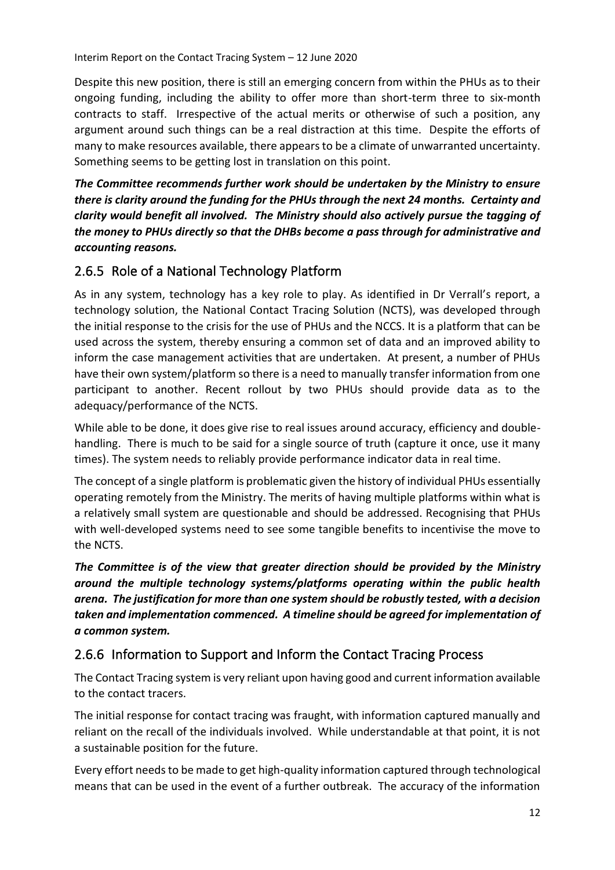Despite this new position, there is still an emerging concern from within the PHUs as to their ongoing funding, including the ability to offer more than short-term three to six-month contracts to staff. Irrespective of the actual merits or otherwise of such a position, any argument around such things can be a real distraction at this time. Despite the efforts of many to make resources available, there appears to be a climate of unwarranted uncertainty. Something seems to be getting lost in translation on this point.

*The Committee recommends further work should be undertaken by the Ministry to ensure there is clarity around the funding for the PHUs through the next 24 months. Certainty and clarity would benefit all involved. The Ministry should also actively pursue the tagging of the money to PHUs directly so that the DHBs become a pass through for administrative and accounting reasons.* 

#### <span id="page-35-0"></span>2.6.5 Role of a National Technology Platform

As in any system, technology has a key role to play. As identified in Dr Verrall's report, a technology solution, the National Contact Tracing Solution (NCTS), was developed through the initial response to the crisis for the use of PHUs and the NCCS. It is a platform that can be used across the system, thereby ensuring a common set of data and an improved ability to inform the case management activities that are undertaken. At present, a number of PHUs have their own system/platform so there is a need to manually transfer information from one participant to another. Recent rollout by two PHUs should provide data as to the adequacy/performance of the NCTS.

While able to be done, it does give rise to real issues around accuracy, efficiency and doublehandling. There is much to be said for a single source of truth (capture it once, use it many times). The system needs to reliably provide performance indicator data in real time.

The concept of a single platform is problematic given the history of individual PHUs essentially operating remotely from the Ministry. The merits of having multiple platforms within what is a relatively small system are questionable and should be addressed. Recognising that PHUs with well-developed systems need to see some tangible benefits to incentivise the move to the NCTS.

*The Committee is of the view that greater direction should be provided by the Ministry around the multiple technology systems/platforms operating within the public health arena. The justification for more than one system should be robustly tested, with a decision taken and implementation commenced. A timeline should be agreed for implementation of a common system.*

#### <span id="page-35-1"></span>2.6.6 Information to Support and Inform the Contact Tracing Process

The Contact Tracing system is very reliant upon having good and current information available to the contact tracers.

The initial response for contact tracing was fraught, with information captured manually and reliant on the recall of the individuals involved. While understandable at that point, it is not a sustainable position for the future.

Every effort needs to be made to get high-quality information captured through technological means that can be used in the event of a further outbreak. The accuracy of the information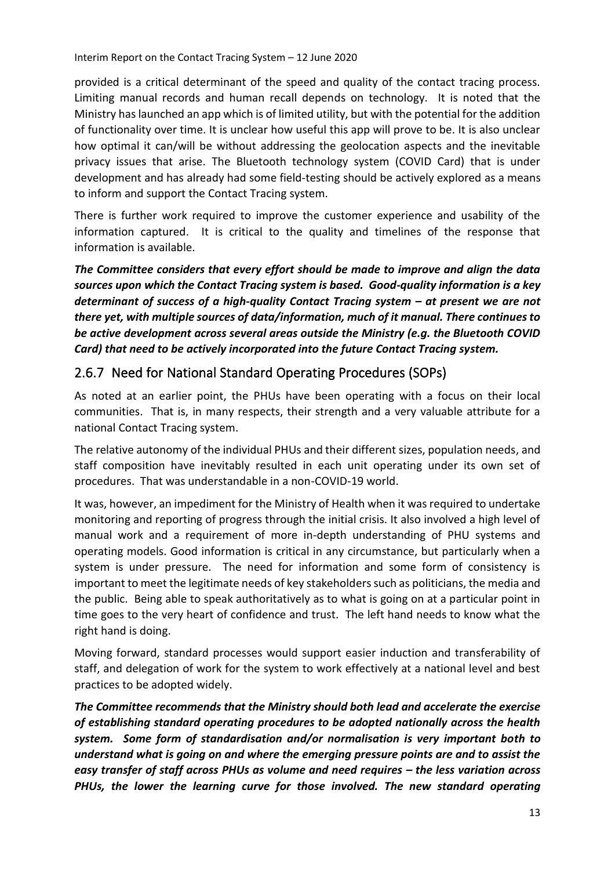provided is a critical determinant of the speed and quality of the contact tracing process. Limiting manual records and human recall depends on technology. It is noted that the Ministry has launched an app which is of limited utility, but with the potential for the addition of functionality over time. It is unclear how useful this app will prove to be. It is also unclear how optimal it can/will be without addressing the geolocation aspects and the inevitable privacy issues that arise. The Bluetooth technology system (COVID Card) that is under development and has already had some field-testing should be actively explored as a means to inform and support the Contact Tracing system.

There is further work required to improve the customer experience and usability of the information captured. It is critical to the quality and timelines of the response that information is available.

*The Committee considers that every effort should be made to improve and align the data sources upon which the Contact Tracing system is based. Good-quality information is a key determinant of success of a high-quality Contact Tracing system – at present we are not there yet, with multiple sources of data/information, much of it manual. There continues to be active development across several areas outside the Ministry (e.g. the Bluetooth COVID Card) that need to be actively incorporated into the future Contact Tracing system.*

#### <span id="page-36-0"></span>2.6.7 Need for National Standard Operating Procedures (SOPs)

As noted at an earlier point, the PHUs have been operating with a focus on their local communities. That is, in many respects, their strength and a very valuable attribute for a national Contact Tracing system.

The relative autonomy of the individual PHUs and their different sizes, population needs, and staff composition have inevitably resulted in each unit operating under its own set of procedures. That was understandable in a non-COVID-19 world.

It was, however, an impediment for the Ministry of Health when it was required to undertake monitoring and reporting of progress through the initial crisis. It also involved a high level of manual work and a requirement of more in-depth understanding of PHU systems and operating models. Good information is critical in any circumstance, but particularly when a system is under pressure. The need for information and some form of consistency is important to meet the legitimate needs of key stakeholders such as politicians, the media and the public. Being able to speak authoritatively as to what is going on at a particular point in time goes to the very heart of confidence and trust. The left hand needs to know what the right hand is doing.

Moving forward, standard processes would support easier induction and transferability of staff, and delegation of work for the system to work effectively at a national level and best practices to be adopted widely.

*The Committee recommends that the Ministry should both lead and accelerate the exercise of establishing standard operating procedures to be adopted nationally across the health system. Some form of standardisation and/or normalisation is very important both to understand what is going on and where the emerging pressure points are and to assist the easy transfer of staff across PHUs as volume and need requires – the less variation across PHUs, the lower the learning curve for those involved. The new standard operating*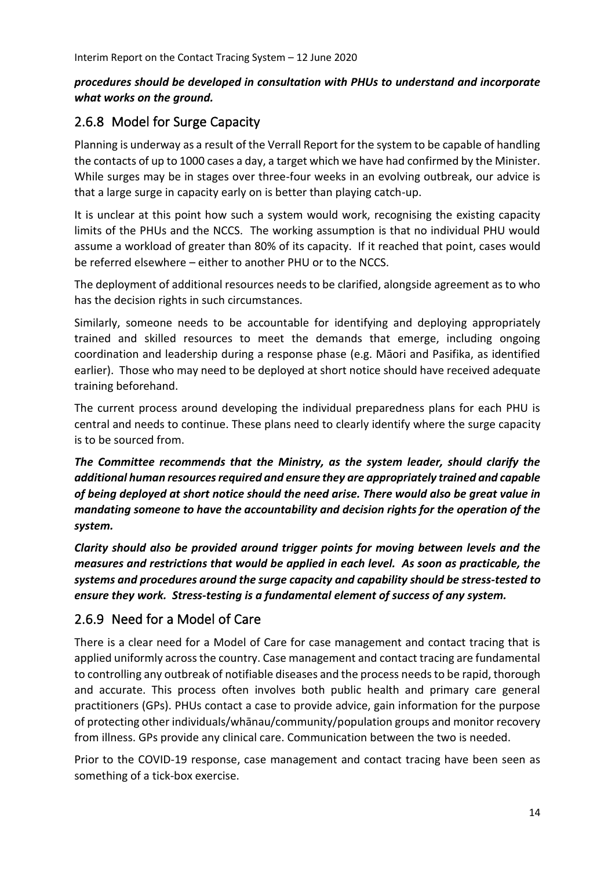#### *procedures should be developed in consultation with PHUs to understand and incorporate what works on the ground.*

#### <span id="page-37-0"></span>2.6.8 Model for Surge Capacity

Planning is underway as a result of the Verrall Report for the system to be capable of handling the contacts of up to 1000 cases a day, a target which we have had confirmed by the Minister. While surges may be in stages over three-four weeks in an evolving outbreak, our advice is that a large surge in capacity early on is better than playing catch-up.

It is unclear at this point how such a system would work, recognising the existing capacity limits of the PHUs and the NCCS. The working assumption is that no individual PHU would assume a workload of greater than 80% of its capacity. If it reached that point, cases would be referred elsewhere – either to another PHU or to the NCCS.

The deployment of additional resources needs to be clarified, alongside agreement as to who has the decision rights in such circumstances.

Similarly, someone needs to be accountable for identifying and deploying appropriately trained and skilled resources to meet the demands that emerge, including ongoing coordination and leadership during a response phase (e.g. Māori and Pasifika, as identified earlier). Those who may need to be deployed at short notice should have received adequate training beforehand.

The current process around developing the individual preparedness plans for each PHU is central and needs to continue. These plans need to clearly identify where the surge capacity is to be sourced from.

*The Committee recommends that the Ministry, as the system leader, should clarify the additional human resources required and ensure they are appropriately trained and capable of being deployed at short notice should the need arise. There would also be great value in mandating someone to have the accountability and decision rights for the operation of the system.* 

*Clarity should also be provided around trigger points for moving between levels and the measures and restrictions that would be applied in each level. As soon as practicable, the systems and procedures around the surge capacity and capability should be stress-tested to ensure they work. Stress-testing is a fundamental element of success of any system.*

#### <span id="page-37-1"></span>2.6.9 Need for a Model of Care

There is a clear need for a Model of Care for case management and contact tracing that is applied uniformly across the country. Case management and contact tracing are fundamental to controlling any outbreak of notifiable diseases and the process needs to be rapid, thorough and accurate. This process often involves both public health and primary care general practitioners (GPs). PHUs contact a case to provide advice, gain information for the purpose of protecting other individuals/whānau/community/population groups and monitor recovery from illness. GPs provide any clinical care. Communication between the two is needed.

Prior to the COVID-19 response, case management and contact tracing have been seen as something of a tick-box exercise.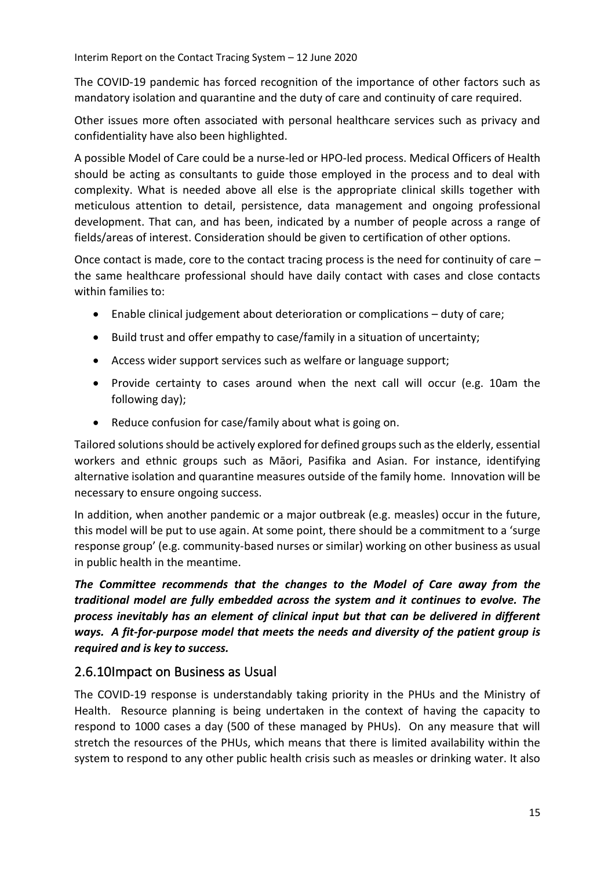The COVID-19 pandemic has forced recognition of the importance of other factors such as mandatory isolation and quarantine and the duty of care and continuity of care required.

Other issues more often associated with personal healthcare services such as privacy and confidentiality have also been highlighted.

A possible Model of Care could be a nurse-led or HPO-led process. Medical Officers of Health should be acting as consultants to guide those employed in the process and to deal with complexity. What is needed above all else is the appropriate clinical skills together with meticulous attention to detail, persistence, data management and ongoing professional development. That can, and has been, indicated by a number of people across a range of fields/areas of interest. Consideration should be given to certification of other options.

Once contact is made, core to the contact tracing process is the need for continuity of care – the same healthcare professional should have daily contact with cases and close contacts within families to:

- Enable clinical judgement about deterioration or complications duty of care;
- Build trust and offer empathy to case/family in a situation of uncertainty;
- Access wider support services such as welfare or language support;
- Provide certainty to cases around when the next call will occur (e.g. 10am the following day);
- Reduce confusion for case/family about what is going on.

Tailored solutions should be actively explored for defined groups such as the elderly, essential workers and ethnic groups such as Māori, Pasifika and Asian. For instance, identifying alternative isolation and quarantine measures outside of the family home. Innovation will be necessary to ensure ongoing success.

In addition, when another pandemic or a major outbreak (e.g. measles) occur in the future, this model will be put to use again. At some point, there should be a commitment to a 'surge response group' (e.g. community-based nurses or similar) working on other business as usual in public health in the meantime.

*The Committee recommends that the changes to the Model of Care away from the traditional model are fully embedded across the system and it continues to evolve. The process inevitably has an element of clinical input but that can be delivered in different ways. A fit-for-purpose model that meets the needs and diversity of the patient group is required and is key to success.* 

#### <span id="page-38-0"></span>2.6.10Impact on Business as Usual

The COVID-19 response is understandably taking priority in the PHUs and the Ministry of Health. Resource planning is being undertaken in the context of having the capacity to respond to 1000 cases a day (500 of these managed by PHUs). On any measure that will stretch the resources of the PHUs, which means that there is limited availability within the system to respond to any other public health crisis such as measles or drinking water. It also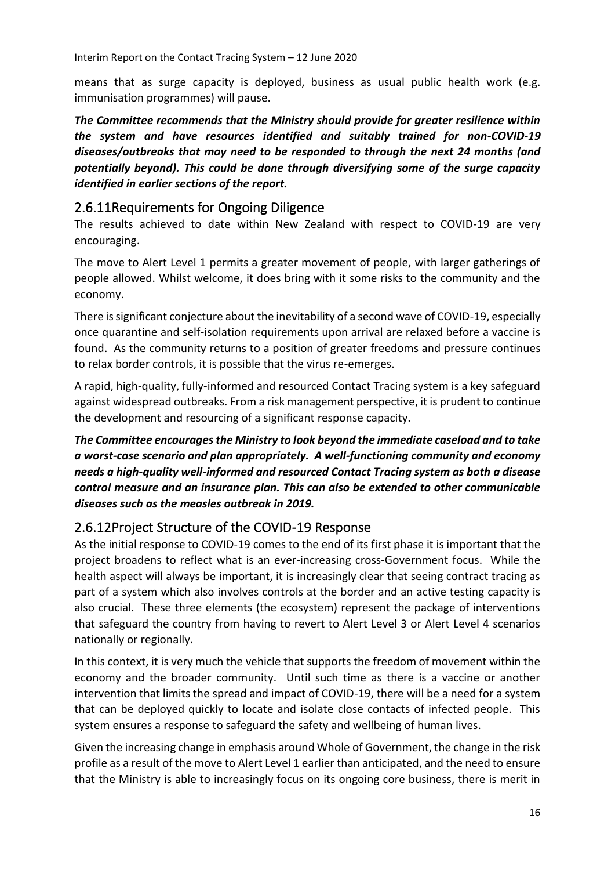means that as surge capacity is deployed, business as usual public health work (e.g. immunisation programmes) will pause.

*The Committee recommends that the Ministry should provide for greater resilience within the system and have resources identified and suitably trained for non-COVID-19 diseases/outbreaks that may need to be responded to through the next 24 months (and potentially beyond). This could be done through diversifying some of the surge capacity identified in earlier sections of the report.*

#### <span id="page-39-0"></span>2.6.11Requirements for Ongoing Diligence

The results achieved to date within New Zealand with respect to COVID-19 are very encouraging.

The move to Alert Level 1 permits a greater movement of people, with larger gatherings of people allowed. Whilst welcome, it does bring with it some risks to the community and the economy.

There is significant conjecture about the inevitability of a second wave of COVID-19, especially once quarantine and self-isolation requirements upon arrival are relaxed before a vaccine is found. As the community returns to a position of greater freedoms and pressure continues to relax border controls, it is possible that the virus re-emerges.

A rapid, high-quality, fully-informed and resourced Contact Tracing system is a key safeguard against widespread outbreaks. From a risk management perspective, it is prudent to continue the development and resourcing of a significant response capacity.

*The Committee encourages the Ministry to look beyond the immediate caseload and to take a worst-case scenario and plan appropriately. A well-functioning community and economy needs a high-quality well-informed and resourced Contact Tracing system as both a disease control measure and an insurance plan. This can also be extended to other communicable diseases such as the measles outbreak in 2019.* 

#### <span id="page-39-1"></span>2.6.12Project Structure of the COVID-19 Response

As the initial response to COVID-19 comes to the end of its first phase it is important that the project broadens to reflect what is an ever-increasing cross-Government focus. While the health aspect will always be important, it is increasingly clear that seeing contract tracing as part of a system which also involves controls at the border and an active testing capacity is also crucial. These three elements (the ecosystem) represent the package of interventions that safeguard the country from having to revert to Alert Level 3 or Alert Level 4 scenarios nationally or regionally.

In this context, it is very much the vehicle that supports the freedom of movement within the economy and the broader community. Until such time as there is a vaccine or another intervention that limits the spread and impact of COVID-19, there will be a need for a system that can be deployed quickly to locate and isolate close contacts of infected people. This system ensures a response to safeguard the safety and wellbeing of human lives.

Given the increasing change in emphasis around Whole of Government, the change in the risk profile as a result of the move to Alert Level 1 earlier than anticipated, and the need to ensure that the Ministry is able to increasingly focus on its ongoing core business, there is merit in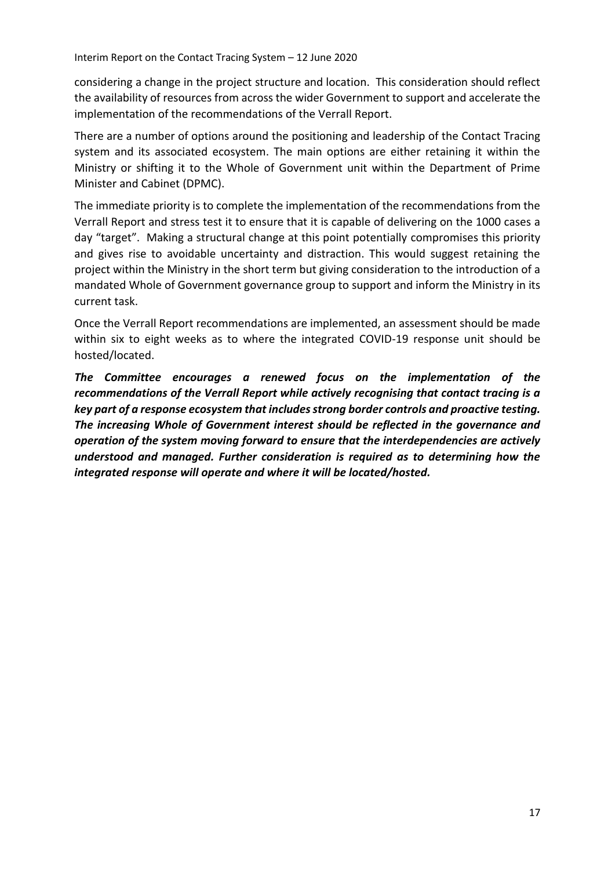considering a change in the project structure and location. This consideration should reflect the availability of resources from across the wider Government to support and accelerate the implementation of the recommendations of the Verrall Report.

There are a number of options around the positioning and leadership of the Contact Tracing system and its associated ecosystem. The main options are either retaining it within the Ministry or shifting it to the Whole of Government unit within the Department of Prime Minister and Cabinet (DPMC).

The immediate priority is to complete the implementation of the recommendations from the Verrall Report and stress test it to ensure that it is capable of delivering on the 1000 cases a day "target". Making a structural change at this point potentially compromises this priority and gives rise to avoidable uncertainty and distraction. This would suggest retaining the project within the Ministry in the short term but giving consideration to the introduction of a mandated Whole of Government governance group to support and inform the Ministry in its current task.

Once the Verrall Report recommendations are implemented, an assessment should be made within six to eight weeks as to where the integrated COVID-19 response unit should be hosted/located.

*The Committee encourages a renewed focus on the implementation of the recommendations of the Verrall Report while actively recognising that contact tracing is a key part of a response ecosystem that includes strong border controls and proactive testing. The increasing Whole of Government interest should be reflected in the governance and operation of the system moving forward to ensure that the interdependencies are actively understood and managed. Further consideration is required as to determining how the integrated response will operate and where it will be located/hosted.*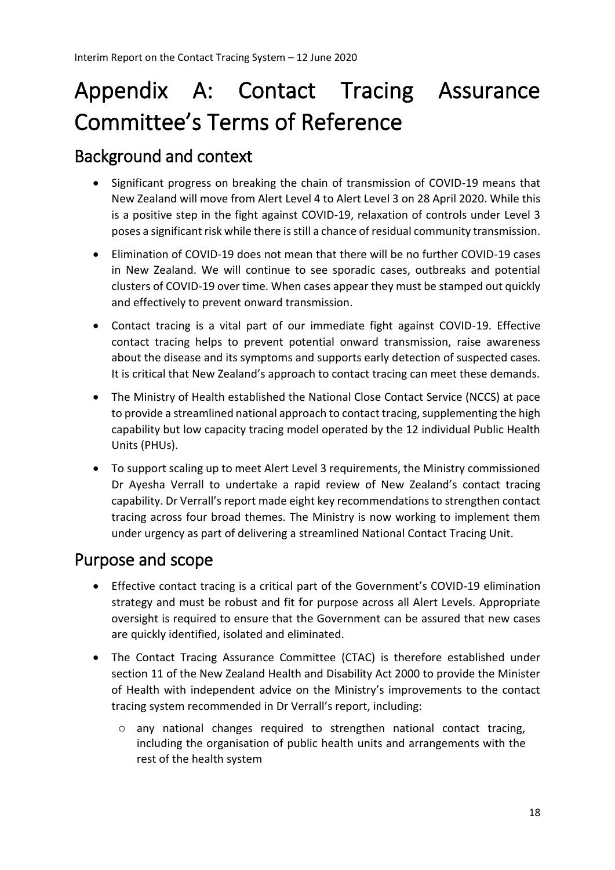# <span id="page-41-0"></span>Appendix A: Contact Tracing Assurance Committee's Terms of Reference

### <span id="page-41-1"></span>Background and context

- Significant progress on breaking the chain of transmission of COVID-19 means that New Zealand will move from Alert Level 4 to Alert Level 3 on 28 April 2020. While this is a positive step in the fight against COVID-19, relaxation of controls under Level 3 poses a significant risk while there is still a chance of residual community transmission.
- Elimination of COVID-19 does not mean that there will be no further COVID-19 cases in New Zealand. We will continue to see sporadic cases, outbreaks and potential clusters of COVID-19 over time. When cases appear they must be stamped out quickly and effectively to prevent onward transmission.
- Contact tracing is a vital part of our immediate fight against COVID-19. Effective contact tracing helps to prevent potential onward transmission, raise awareness about the disease and its symptoms and supports early detection of suspected cases. It is critical that New Zealand's approach to contact tracing can meet these demands.
- The Ministry of Health established the National Close Contact Service (NCCS) at pace to provide a streamlined national approach to contact tracing, supplementing the high capability but low capacity tracing model operated by the 12 individual Public Health Units (PHUs).
- To support scaling up to meet Alert Level 3 requirements, the Ministry commissioned Dr Ayesha Verrall to undertake a rapid review of New Zealand's contact tracing capability. Dr Verrall's report made eight key recommendations to strengthen contact tracing across four broad themes. The Ministry is now working to implement them under urgency as part of delivering a streamlined National Contact Tracing Unit.

### <span id="page-41-2"></span>Purpose and scope

- Effective contact tracing is a critical part of the Government's COVID-19 elimination strategy and must be robust and fit for purpose across all Alert Levels. Appropriate oversight is required to ensure that the Government can be assured that new cases are quickly identified, isolated and eliminated.
- The Contact Tracing Assurance Committee (CTAC) is therefore established under section 11 of the New Zealand Health and Disability Act 2000 to provide the Minister of Health with independent advice on the Ministry's improvements to the contact tracing system recommended in Dr Verrall's report, including:
	- o any national changes required to strengthen national contact tracing, including the organisation of public health units and arrangements with the rest of the health system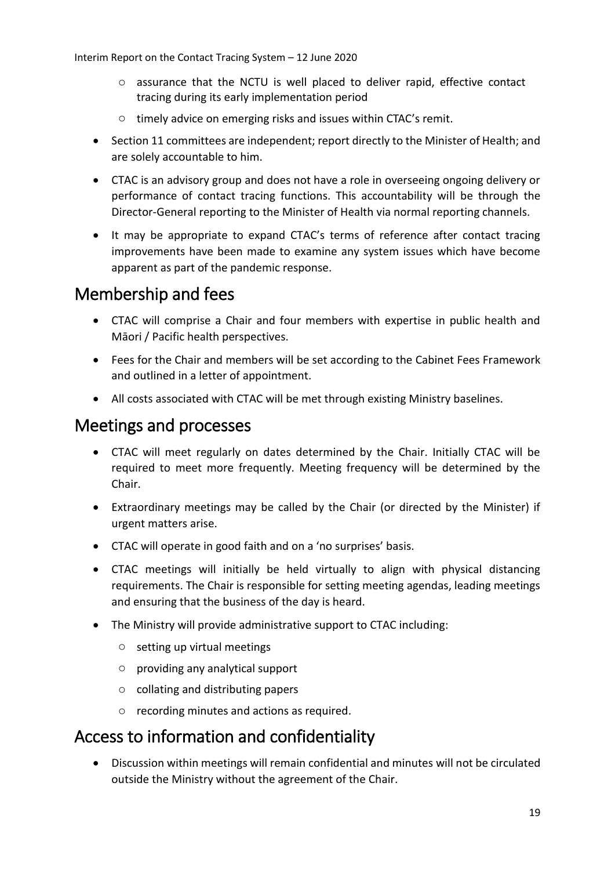- o assurance that the NCTU is well placed to deliver rapid, effective contact tracing during its early implementation period
- o timely advice on emerging risks and issues within CTAC's remit.
- Section 11 committees are independent; report directly to the Minister of Health; and are solely accountable to him.
- CTAC is an advisory group and does not have a role in overseeing ongoing delivery or performance of contact tracing functions. This accountability will be through the Director-General reporting to the Minister of Health via normal reporting channels.
- It may be appropriate to expand CTAC's terms of reference after contact tracing improvements have been made to examine any system issues which have become apparent as part of the pandemic response.

### <span id="page-42-0"></span>Membership and fees

- CTAC will comprise a Chair and four members with expertise in public health and Māori / Pacific health perspectives.
- Fees for the Chair and members will be set according to the Cabinet Fees Framework and outlined in a letter of appointment.
- All costs associated with CTAC will be met through existing Ministry baselines.

### <span id="page-42-1"></span>Meetings and processes

- CTAC will meet regularly on dates determined by the Chair. Initially CTAC will be required to meet more frequently. Meeting frequency will be determined by the Chair.
- Extraordinary meetings may be called by the Chair (or directed by the Minister) if urgent matters arise.
- CTAC will operate in good faith and on a 'no surprises' basis.
- CTAC meetings will initially be held virtually to align with physical distancing requirements. The Chair is responsible for setting meeting agendas, leading meetings and ensuring that the business of the day is heard.
- The Ministry will provide administrative support to CTAC including:
	- o setting up virtual meetings
	- o providing any analytical support
	- o collating and distributing papers
	- o recording minutes and actions as required.

### <span id="page-42-2"></span>Access to information and confidentiality

• Discussion within meetings will remain confidential and minutes will not be circulated outside the Ministry without the agreement of the Chair.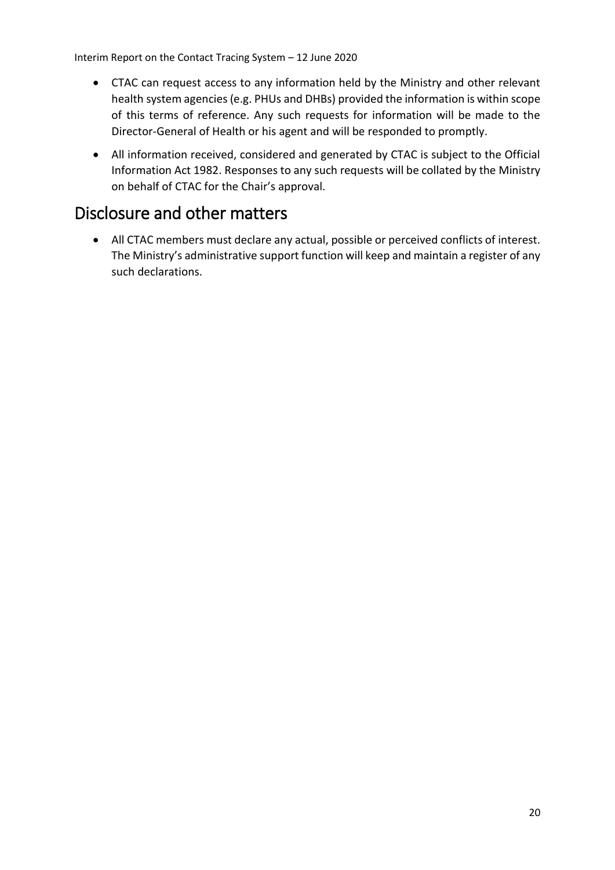- CTAC can request access to any information held by the Ministry and other relevant health system agencies (e.g. PHUs and DHBs) provided the information is within scope of this terms of reference. Any such requests for information will be made to the Director-General of Health or his agent and will be responded to promptly.
- All information received, considered and generated by CTAC is subject to the Official Information Act 1982. Responses to any such requests will be collated by the Ministry on behalf of CTAC for the Chair's approval.

### <span id="page-43-0"></span>Disclosure and other matters

• All CTAC members must declare any actual, possible or perceived conflicts of interest. The Ministry's administrative support function will keep and maintain a register of any such declarations.